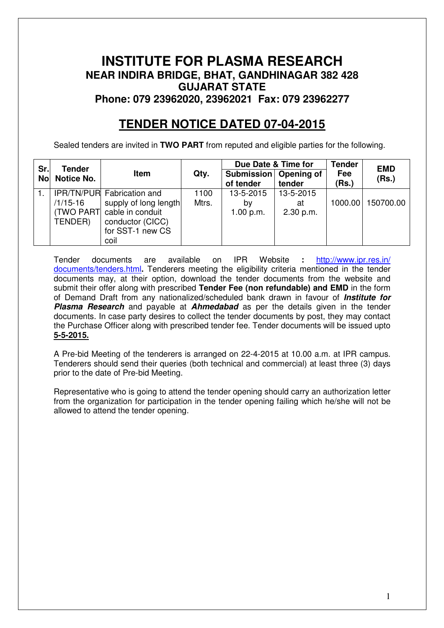# **INSTITUTE FOR PLASMA RESEARCH NEAR INDIRA BRIDGE, BHAT, GANDHINAGAR 382 428 GUJARAT STATE Phone: 079 23962020, 23962021 Fax: 079 23962277**

# **TENDER NOTICE DATED 07-04-2015**

Sealed tenders are invited in **TWO PART** from reputed and eligible parties for the following.

| Sr.       | <b>Tender</b> |                                                      |       | Due Date & Time for                  |                 | <b>Tender</b> | <b>EMD</b> |
|-----------|---------------|------------------------------------------------------|-------|--------------------------------------|-----------------|---------------|------------|
| <b>No</b> | Notice No.    | Item                                                 | Qty.  | Submission   Opening of<br>of tender | tender          | Fee<br>(Rs.)  | (Rs.)      |
|           |               | IPR/TN/PUR Fabrication and                           | 1100  | 13-5-2015                            | 13-5-2015       |               |            |
|           | /1/15-16      | supply of long length<br>(TWO PART) cable in conduit | Mtrs. | by<br>1.00 p.m.                      | at<br>2.30 p.m. | 1000.00       | 150700.00  |
|           | TENDER)       | conductor (CICC)<br>for SST-1 new CS<br>coil         |       |                                      |                 |               |            |

Tender documents are available on IPR Website **:** http://www.ipr.res.in/ documents/tenders.html**.** Tenderers meeting the eligibility criteria mentioned in the tender documents may, at their option, download the tender documents from the website and submit their offer along with prescribed **Tender Fee (non refundable) and EMD** in the form of Demand Draft from any nationalized/scheduled bank drawn in favour of **Institute for Plasma Research** and payable at **Ahmedabad** as per the details given in the tender documents. In case party desires to collect the tender documents by post, they may contact the Purchase Officer along with prescribed tender fee. Tender documents will be issued upto **5-5-2015.**

A Pre-bid Meeting of the tenderers is arranged on 22-4-2015 at 10.00 a.m. at IPR campus. Tenderers should send their queries (both technical and commercial) at least three (3) days prior to the date of Pre-bid Meeting.

Representative who is going to attend the tender opening should carry an authorization letter from the organization for participation in the tender opening failing which he/she will not be allowed to attend the tender opening.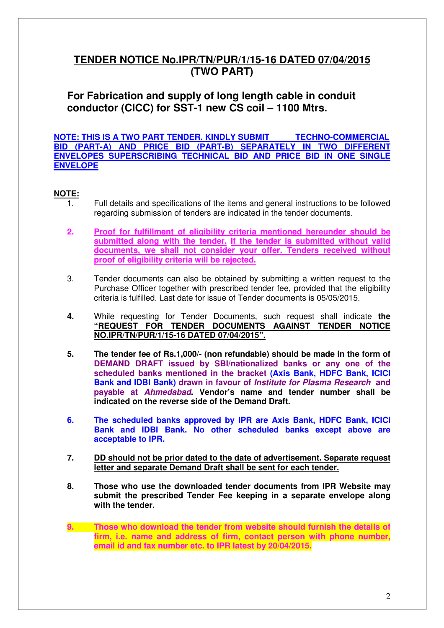# **TENDER NOTICE No.IPR/TN/PUR/1/15-16 DATED 07/04/2015 (TWO PART)**

**For Fabrication and supply of long length cable in conduit conductor (CICC) for SST-1 new CS coil – 1100 Mtrs.**

**NOTE: THIS IS A TWO PART TENDER. KINDLY SUBMIT TECHNO-COMMERCIAL BID (PART-A) AND PRICE BID (PART-B) SEPARATELY IN TWO DIFFERENT ENVELOPES SUPERSCRIBING TECHNICAL BID AND PRICE BID IN ONE SINGLE ENVELOPE** 

# **NOTE:**

- 1. Full details and specifications of the items and general instructions to be followed regarding submission of tenders are indicated in the tender documents.
- **2. Proof for fulfillment of eligibility criteria mentioned hereunder should be submitted along with the tender. If the tender is submitted without valid documents, we shall not consider your offer. Tenders received without proof of eligibility criteria will be rejected.**
- 3. Tender documents can also be obtained by submitting a written request to the Purchase Officer together with prescribed tender fee, provided that the eligibility criteria is fulfilled. Last date for issue of Tender documents is 05/05/2015.
- **4.** While requesting for Tender Documents, such request shall indicate **the "REQUEST FOR TENDER DOCUMENTS AGAINST TENDER NOTICE NO.IPR/TN/PUR/1/15-16 DATED 07/04/2015".**
- **5. The tender fee of Rs.1,000/- (non refundable) should be made in the form of DEMAND DRAFT issued by SBI/nationalized banks or any one of the scheduled banks mentioned in the bracket (Axis Bank, HDFC Bank, ICICI Bank and IDBI Bank) drawn in favour of Institute for Plasma Research and payable at Ahmedabad. Vendor's name and tender number shall be indicated on the reverse side of the Demand Draft.**
- **6. The scheduled banks approved by IPR are Axis Bank, HDFC Bank, ICICI Bank and IDBI Bank. No other scheduled banks except above are acceptable to IPR.**
- **7. DD should not be prior dated to the date of advertisement. Separate request letter and separate Demand Draft shall be sent for each tender.**
- **8. Those who use the downloaded tender documents from IPR Website may submit the prescribed Tender Fee keeping in a separate envelope along with the tender.**
- **9. Those who download the tender from website should furnish the details of firm, i.e. name and address of firm, contact person with phone number, email id and fax number etc. to IPR latest by 20/04/2015.**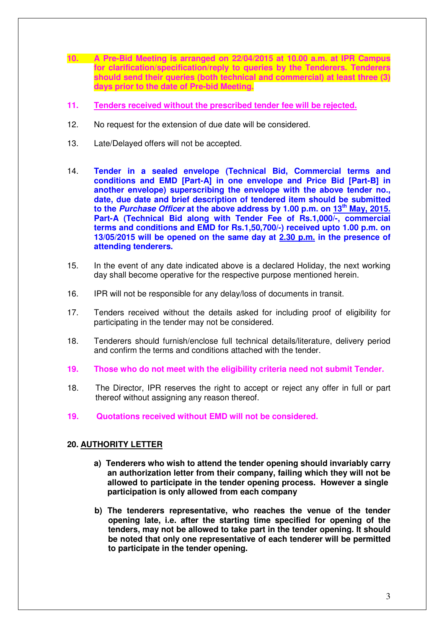- **10. A Pre-Bid Meeting is arranged on 22/04/2015 at 10.00 a.m. at IPR Campus for clarification/specification/reply to queries by the Tenderers. Tenderers should send their queries (both technical and commercial) at least three (3) days prior to the date of Pre-bid Meeting.**
- **11. Tenders received without the prescribed tender fee will be rejected.**
- 12. No request for the extension of due date will be considered.
- 13. Late/Delayed offers will not be accepted.
- 14. **Tender in a sealed envelope (Technical Bid, Commercial terms and conditions and EMD [Part-A] in one envelope and Price Bid [Part-B] in another envelope) superscribing the envelope with the above tender no., date, due date and brief description of tendered item should be submitted to the Purchase Officer at the above address by 1.00 p.m. on 13th May, 2015. Part-A (Technical Bid along with Tender Fee of Rs.1,000/-, commercial terms and conditions and EMD for Rs.1,50,700/-) received upto 1.00 p.m. on 13/05/2015 will be opened on the same day at 2.30 p.m. in the presence of attending tenderers.**
- 15. In the event of any date indicated above is a declared Holiday, the next working day shall become operative for the respective purpose mentioned herein.
- 16. IPR will not be responsible for any delay/loss of documents in transit.
- 17. Tenders received without the details asked for including proof of eligibility for participating in the tender may not be considered.
- 18. Tenderers should furnish/enclose full technical details/literature, delivery period and confirm the terms and conditions attached with the tender.
- **19. Those who do not meet with the eligibility criteria need not submit Tender.**
- 18. The Director, IPR reserves the right to accept or reject any offer in full or part thereof without assigning any reason thereof.
- **19. Quotations received without EMD will not be considered.**

#### **20. AUTHORITY LETTER**

- **a) Tenderers who wish to attend the tender opening should invariably carry an authorization letter from their company, failing which they will not be allowed to participate in the tender opening process. However a single participation is only allowed from each company**
- **b) The tenderers representative, who reaches the venue of the tender opening late, i.e. after the starting time specified for opening of the tenders, may not be allowed to take part in the tender opening. It should be noted that only one representative of each tenderer will be permitted to participate in the tender opening.**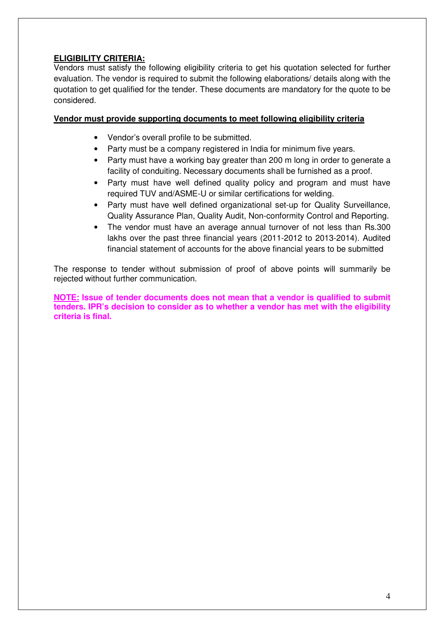# **ELIGIBILITY CRITERIA:**

Vendors must satisfy the following eligibility criteria to get his quotation selected for further evaluation. The vendor is required to submit the following elaborations/ details along with the quotation to get qualified for the tender. These documents are mandatory for the quote to be considered.

# **Vendor must provide supporting documents to meet following eligibility criteria**

- Vendor's overall profile to be submitted.
- Party must be a company registered in India for minimum five years.
- Party must have a working bay greater than 200 m long in order to generate a facility of conduiting. Necessary documents shall be furnished as a proof.
- Party must have well defined quality policy and program and must have required TUV and/ASME-U or similar certifications for welding.
- Party must have well defined organizational set-up for Quality Surveillance, Quality Assurance Plan, Quality Audit, Non-conformity Control and Reporting.
- The vendor must have an average annual turnover of not less than Rs.300 lakhs over the past three financial years (2011-2012 to 2013-2014). Audited financial statement of accounts for the above financial years to be submitted

The response to tender without submission of proof of above points will summarily be rejected without further communication.

**NOTE: Issue of tender documents does not mean that a vendor is qualified to submit tenders. IPR's decision to consider as to whether a vendor has met with the eligibility criteria is final.**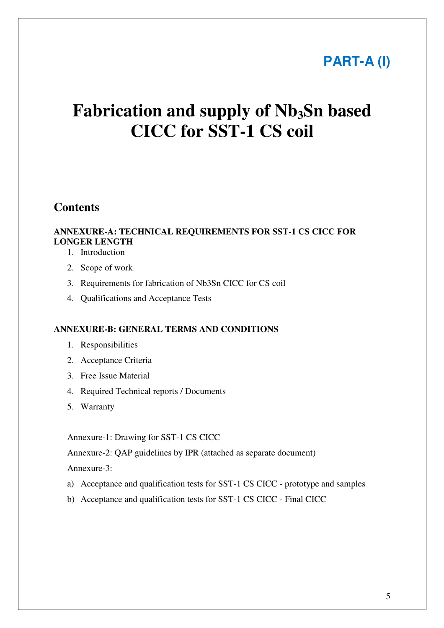# **PART-A (I)**

# **Fabrication and supply of Nb3Sn based CICC for SST-1 CS coil**

# **Contents**

# **ANNEXURE-A: TECHNICAL REQUIREMENTS FOR SST-1 CS CICC FOR LONGER LENGTH**

- 1. Introduction
- 2. Scope of work
- 3. Requirements for fabrication of Nb3Sn CICC for CS coil
- 4. Qualifications and Acceptance Tests

### **ANNEXURE-B: GENERAL TERMS AND CONDITIONS**

- 1. Responsibilities
- 2. Acceptance Criteria
- 3. Free Issue Material
- 4. Required Technical reports / Documents
- 5. Warranty

Annexure-1: Drawing for SST-1 CS CICC

Annexure-2: QAP guidelines by IPR (attached as separate document)

Annexure-3:

- a) Acceptance and qualification tests for SST-1 CS CICC prototype and samples
- b) Acceptance and qualification tests for SST-1 CS CICC Final CICC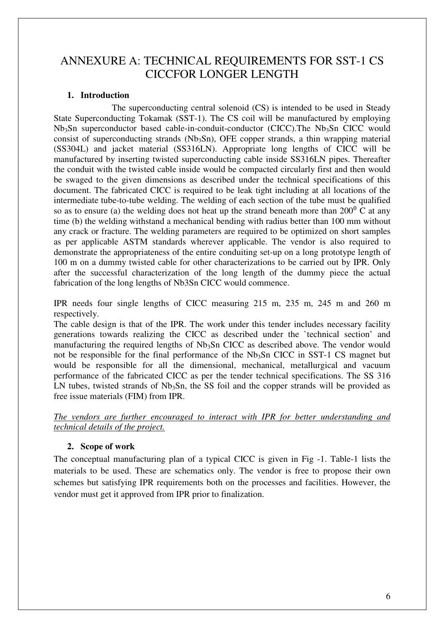# ANNEXURE A: TECHNICAL REQUIREMENTS FOR SST-1 CS CICCFOR LONGER LENGTH

# **1. Introduction**

 The superconducting central solenoid (CS) is intended to be used in Steady State Superconducting Tokamak (SST-1). The CS coil will be manufactured by employing Nb<sub>3</sub>Sn superconductor based cable-in-conduit-conductor (CICC). The Nb<sub>3</sub>Sn CICC would consist of superconducting strands ( $Nb<sub>3</sub>Sn$ ), OFE copper strands, a thin wrapping material (SS304L) and jacket material (SS316LN). Appropriate long lengths of CICC will be manufactured by inserting twisted superconducting cable inside SS316LN pipes. Thereafter the conduit with the twisted cable inside would be compacted circularly first and then would be swaged to the given dimensions as described under the technical specifications of this document. The fabricated CICC is required to be leak tight including at all locations of the intermediate tube-to-tube welding. The welding of each section of the tube must be qualified so as to ensure (a) the welding does not heat up the strand beneath more than  $200^{\circ}$  C at any time (b) the welding withstand a mechanical bending with radius better than 100 mm without any crack or fracture. The welding parameters are required to be optimized on short samples as per applicable ASTM standards wherever applicable. The vendor is also required to demonstrate the appropriateness of the entire conduiting set-up on a long prototype length of 100 m on a dummy twisted cable for other characterizations to be carried out by IPR. Only after the successful characterization of the long length of the dummy piece the actual fabrication of the long lengths of Nb3Sn CICC would commence.

IPR needs four single lengths of CICC measuring 215 m, 235 m, 245 m and 260 m respectively.

The cable design is that of the IPR. The work under this tender includes necessary facility generations towards realizing the CICC as described under the `technical section' and manufacturing the required lengths of Nb<sub>3</sub>Sn CICC as described above. The vendor would not be responsible for the final performance of the  $Nb<sub>3</sub>Sn$  CICC in SST-1 CS magnet but would be responsible for all the dimensional, mechanical, metallurgical and vacuum performance of the fabricated CICC as per the tender technical specifications. The SS 316 LN tubes, twisted strands of  $Nb<sub>3</sub>Sn$ , the SS foil and the copper strands will be provided as free issue materials (FIM) from IPR.

*The vendors are further encouraged to interact with IPR for better understanding and technical details of the project.* 

# **2. Scope of work**

The conceptual manufacturing plan of a typical CICC is given in Fig -1. Table-1 lists the materials to be used. These are schematics only. The vendor is free to propose their own schemes but satisfying IPR requirements both on the processes and facilities. However, the vendor must get it approved from IPR prior to finalization.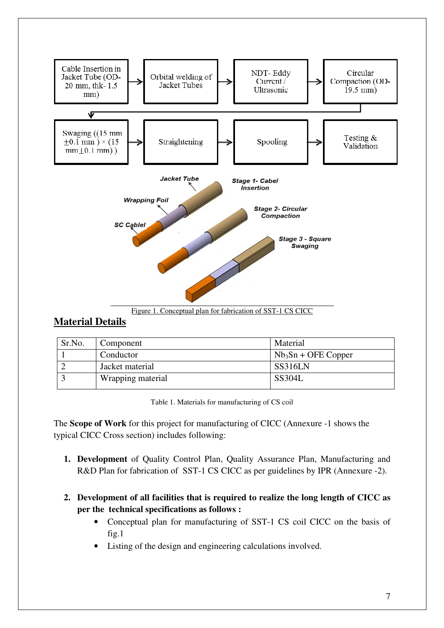

#### Figure 1. Conceptual plan for fabrication of SST-1 CS CICC

# **Material Details**

| Sr.No. | Component         | Material              |
|--------|-------------------|-----------------------|
|        | Conductor         | $Nb_3Sn + OFE$ Copper |
|        | Jacket material   | SS316LN               |
|        | Wrapping material | <b>SS304L</b>         |

Table 1. Materials for manufacturing of CS coil

The **Scope of Work** for this project for manufacturing of CICC (Annexure -1 shows the typical CICC Cross section) includes following:

- **1. Development** of Quality Control Plan, Quality Assurance Plan, Manufacturing and R&D Plan for fabrication of SST-1 CS CICC as per guidelines by IPR (Annexure -2).
- **2. Development of all facilities that is required to realize the long length of CICC as per the technical specifications as follows :** 
	- Conceptual plan for manufacturing of SST-1 CS coil CICC on the basis of fig.1
	- Listing of the design and engineering calculations involved.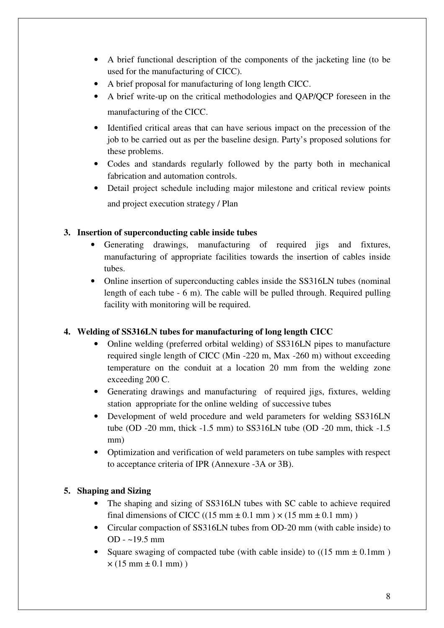- A brief functional description of the components of the jacketing line (to be used for the manufacturing of CICC).
- A brief proposal for manufacturing of long length CICC.
- A brief write-up on the critical methodologies and QAP/QCP foreseen in the manufacturing of the CICC.
- Identified critical areas that can have serious impact on the precession of the job to be carried out as per the baseline design. Party's proposed solutions for these problems.
- Codes and standards regularly followed by the party both in mechanical fabrication and automation controls.
- Detail project schedule including major milestone and critical review points and project execution strategy / Plan

# **3. Insertion of superconducting cable inside tubes**

- Generating drawings, manufacturing of required jigs and fixtures, manufacturing of appropriate facilities towards the insertion of cables inside tubes.
- Online insertion of superconducting cables inside the SS316LN tubes (nominal length of each tube - 6 m). The cable will be pulled through. Required pulling facility with monitoring will be required.

# **4. Welding of SS316LN tubes for manufacturing of long length CICC**

- Online welding (preferred orbital welding) of SS316LN pipes to manufacture required single length of CICC (Min -220 m, Max -260 m) without exceeding temperature on the conduit at a location 20 mm from the welding zone exceeding 200 C.
- Generating drawings and manufacturing of required jigs, fixtures, welding station appropriate for the online welding of successive tubes
- Development of weld procedure and weld parameters for welding SS316LN tube (OD -20 mm, thick -1.5 mm) to SS316LN tube (OD -20 mm, thick -1.5 mm)
- Optimization and verification of weld parameters on tube samples with respect to acceptance criteria of IPR (Annexure -3A or 3B).

# **5. Shaping and Sizing**

- The shaping and sizing of SS316LN tubes with SC cable to achieve required final dimensions of CICC ((15 mm  $\pm$  0.1 mm)  $\times$  (15 mm  $\pm$  0.1 mm))
- Circular compaction of SS316LN tubes from OD-20 mm (with cable inside) to OD - ~19.5 mm
- Square swaging of compacted tube (with cable inside) to  $((15 \text{ mm} \pm 0.1 \text{ mm}))$  $\times$  (15 mm  $\pm$  0.1 mm))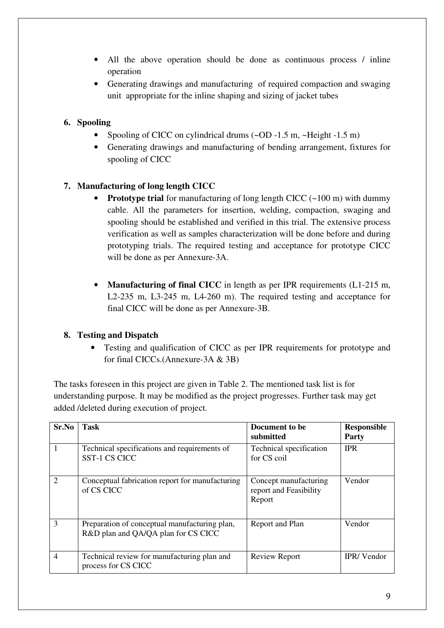- All the above operation should be done as continuous process / inline operation
- Generating drawings and manufacturing of required compaction and swaging unit appropriate for the inline shaping and sizing of jacket tubes

# **6. Spooling**

- Spooling of CICC on cylindrical drums (~OD -1.5 m, ~Height -1.5 m)
- Generating drawings and manufacturing of bending arrangement, fixtures for spooling of CICC

# **7. Manufacturing of long length CICC**

- **Prototype trial** for manufacturing of long length CICC (~100 m) with dummy cable. All the parameters for insertion, welding, compaction, swaging and spooling should be established and verified in this trial. The extensive process verification as well as samples characterization will be done before and during prototyping trials. The required testing and acceptance for prototype CICC will be done as per Annexure-3A.
- **Manufacturing of final CICC** in length as per IPR requirements (L1-215 m, L2-235 m, L3-245 m, L4-260 m). The required testing and acceptance for final CICC will be done as per Annexure-3B.

# **8. Testing and Dispatch**

• Testing and qualification of CICC as per IPR requirements for prototype and for final CICCs.(Annexure-3A & 3B)

The tasks foreseen in this project are given in Table 2. The mentioned task list is for understanding purpose. It may be modified as the project progresses. Further task may get added /deleted during execution of project.

| Sr.No          | <b>Task</b>                                                                          | Document to be<br>submitted                               | <b>Responsible</b><br>Party |
|----------------|--------------------------------------------------------------------------------------|-----------------------------------------------------------|-----------------------------|
| $\mathbf{1}$   | Technical specifications and requirements of<br><b>SST-1 CS CICC</b>                 | Technical specification<br>for CS coil                    | <b>IPR</b>                  |
| $\overline{2}$ | Conceptual fabrication report for manufacturing<br>of CS CICC                        | Concept manufacturing<br>report and Feasibility<br>Report | Vendor                      |
| 3              | Preparation of conceptual manufacturing plan,<br>R&D plan and QA/QA plan for CS CICC | Report and Plan                                           | Vendor                      |
| $\overline{4}$ | Technical review for manufacturing plan and<br>process for CS CICC                   | <b>Review Report</b>                                      | <b>IPR/Vendor</b>           |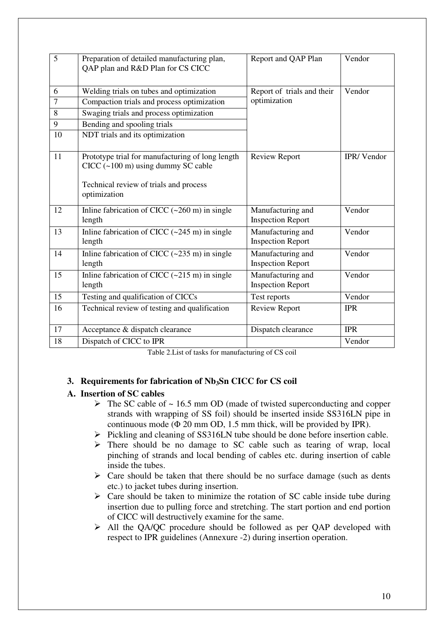| $\overline{5}$ | Preparation of detailed manufacturing plan,<br>QAP plan and R&D Plan for CS CICC         | Report and QAP Plan                           | Vendor     |
|----------------|------------------------------------------------------------------------------------------|-----------------------------------------------|------------|
| 6              | Welding trials on tubes and optimization                                                 | Report of trials and their                    | Vendor     |
| $\overline{7}$ | Compaction trials and process optimization                                               | optimization                                  |            |
| 8              | Swaging trials and process optimization                                                  |                                               |            |
| 9              | Bending and spooling trials                                                              |                                               |            |
| 10             | NDT trials and its optimization                                                          |                                               |            |
| 11             | Prototype trial for manufacturing of long length<br>$CICC$ (~100 m) using dummy SC cable | <b>Review Report</b>                          | IPR/Vendor |
|                | Technical review of trials and process<br>optimization                                   |                                               |            |
| 12             | Inline fabrication of CICC $(-260 \text{ m})$ in single<br>length                        | Manufacturing and<br><b>Inspection Report</b> | Vendor     |
| 13             | Inline fabrication of CICC $(-245 \text{ m})$ in single<br>length                        | Manufacturing and<br><b>Inspection Report</b> | Vendor     |
| 14             | Inline fabrication of CICC $(-235 \text{ m})$ in single<br>length                        | Manufacturing and<br><b>Inspection Report</b> | Vendor     |
| 15             | Inline fabrication of CICC $(-215 \text{ m})$ in single<br>length                        | Manufacturing and<br><b>Inspection Report</b> | Vendor     |
| 15             | Testing and qualification of CICCs                                                       | Test reports                                  | Vendor     |
| 16             | Technical review of testing and qualification                                            | Review Report                                 | <b>IPR</b> |
| 17             | Acceptance & dispatch clearance                                                          | Dispatch clearance                            | <b>IPR</b> |
| 18             | Dispatch of CICC to IPR                                                                  |                                               | Vendor     |

Table 2.List of tasks for manufacturing of CS coil

# **3. Requirements for fabrication of Nb3Sn CICC for CS coil**

# **A. Insertion of SC cables**

- $\triangleright$  The SC cable of  $\sim$  16.5 mm OD (made of twisted superconducting and copper strands with wrapping of SS foil) should be inserted inside SS316LN pipe in continuous mode ( $\Phi$  20 mm OD, 1.5 mm thick, will be provided by IPR).
- $\triangleright$  Pickling and cleaning of SS316LN tube should be done before insertion cable.
- $\triangleright$  There should be no damage to SC cable such as tearing of wrap, local pinching of strands and local bending of cables etc. during insertion of cable inside the tubes.
- $\triangleright$  Care should be taken that there should be no surface damage (such as dents etc.) to jacket tubes during insertion.
- $\triangleright$  Care should be taken to minimize the rotation of SC cable inside tube during insertion due to pulling force and stretching. The start portion and end portion of CICC will destructively examine for the same.
- All the QA/QC procedure should be followed as per QAP developed with respect to IPR guidelines (Annexure -2) during insertion operation.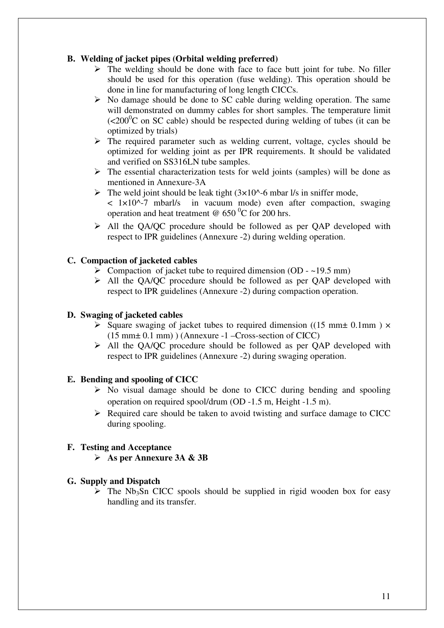# **B. Welding of jacket pipes (Orbital welding preferred)**

- $\triangleright$  The welding should be done with face to face butt joint for tube. No filler should be used for this operation (fuse welding). This operation should be done in line for manufacturing of long length CICCs.
- $\triangleright$  No damage should be done to SC cable during welding operation. The same will demonstrated on dummy cables for short samples. The temperature limit  $\sim$  (<200<sup>0</sup>C on SC cable) should be respected during welding of tubes (it can be optimized by trials)
- $\triangleright$  The required parameter such as welding current, voltage, cycles should be optimized for welding joint as per IPR requirements. It should be validated and verified on SS316LN tube samples.
- $\triangleright$  The essential characterization tests for weld joints (samples) will be done as mentioned in Annexure-3A
- $\triangleright$  The weld joint should be leak tight (3×10^-6 mbar l/s in sniffer mode, < 1×10^-7 mbarl/s in vacuum mode) even after compaction, swaging operation and heat treatment  $\omega$  650 °C for 200 hrs.
- All the QA/QC procedure should be followed as per QAP developed with respect to IPR guidelines (Annexure -2) during welding operation.

# **C. Compaction of jacketed cables**

- $\triangleright$  Compaction of jacket tube to required dimension (OD ~19.5 mm)
- All the QA/QC procedure should be followed as per QAP developed with respect to IPR guidelines (Annexure -2) during compaction operation.

# **D. Swaging of jacketed cables**

- Square swaging of jacket tubes to required dimension ((15 mm $\pm$  0.1mm)  $\times$ (15 mm± 0.1 mm) ) (Annexure -1 –Cross-section of CICC)
- All the QA/QC procedure should be followed as per QAP developed with respect to IPR guidelines (Annexure -2) during swaging operation.

# **E. Bending and spooling of CICC**

- $\triangleright$  No visual damage should be done to CICC during bending and spooling operation on required spool/drum (OD -1.5 m, Height -1.5 m).
- $\triangleright$  Required care should be taken to avoid twisting and surface damage to CICC during spooling.

# **F. Testing and Acceptance**

**As per Annexure 3A & 3B** 

# **G. Supply and Dispatch**

 $\triangleright$  The Nb<sub>3</sub>Sn CICC spools should be supplied in rigid wooden box for easy handling and its transfer.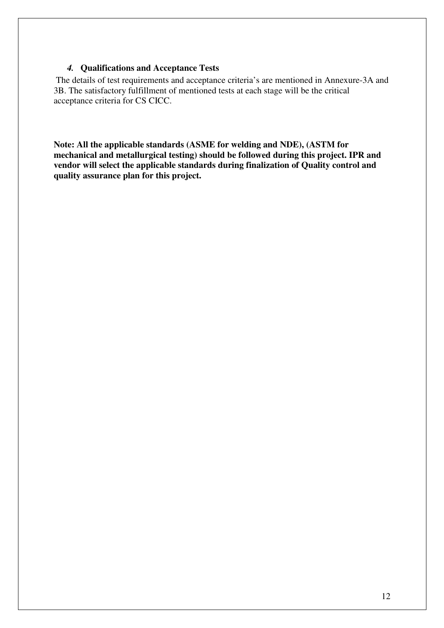# *4.* **Qualifications and Acceptance Tests**

 The details of test requirements and acceptance criteria's are mentioned in Annexure-3A and 3B. The satisfactory fulfillment of mentioned tests at each stage will be the critical acceptance criteria for CS CICC.

**Note: All the applicable standards (ASME for welding and NDE), (ASTM for mechanical and metallurgical testing) should be followed during this project. IPR and vendor will select the applicable standards during finalization of Quality control and quality assurance plan for this project.**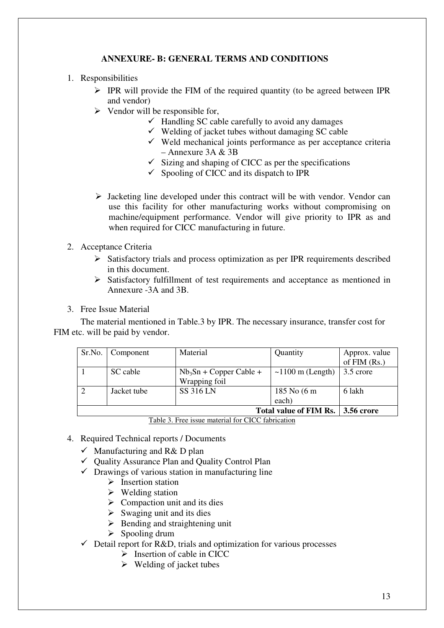# **ANNEXURE- B: GENERAL TERMS AND CONDITIONS**

- 1. Responsibilities
	- $\triangleright$  IPR will provide the FIM of the required quantity (to be agreed between IPR and vendor)
	- $\triangleright$  Vendor will be responsible for,
		- $\checkmark$  Handling SC cable carefully to avoid any damages
		- $\checkmark$  Welding of jacket tubes without damaging SC cable
		- Weld mechanical joints performance as per acceptance criteria  $-$  Annexure 3A & 3B
		- $\checkmark$  Sizing and shaping of CICC as per the specifications
		- $\checkmark$  Spooling of CICC and its dispatch to IPR
	- $\triangleright$  Jacketing line developed under this contract will be with vendor. Vendor can use this facility for other manufacturing works without compromising on machine/equipment performance. Vendor will give priority to IPR as and when required for CICC manufacturing in future.
- 2. Acceptance Criteria
	- $\triangleright$  Satisfactory trials and process optimization as per IPR requirements described in this document.
	- Satisfactory fulfillment of test requirements and acceptance as mentioned in Annexure -3A and 3B.
- 3. Free Issue Material

 The material mentioned in Table.3 by IPR. The necessary insurance, transfer cost for FIM etc. will be paid by vendor.

| Sr.No. Component | Material                 | Quantity                      | Approx. value     |
|------------------|--------------------------|-------------------------------|-------------------|
|                  |                          |                               | of $FIM(Rs.)$     |
| SC cable         | $Nb3Sn + Copper Cable +$ | $\sim$ 1100 m (Length)        | 3.5 crore         |
|                  | Wrapping foil            |                               |                   |
| Jacket tube      | <b>SS 316 LN</b>         | 185 No (6 m                   | 6 lakh            |
|                  |                          | each)                         |                   |
|                  |                          | <b>Total value of FIM Rs.</b> | <b>3.56 crore</b> |

Table 3. Free issue material for CICC fabrication

- 4. Required Technical reports / Documents
	- Manufacturing and R& D plan
	- Quality Assurance Plan and Quality Control Plan
	- $\checkmark$  Drawings of various station in manufacturing line
		- $\triangleright$  Insertion station
		- $\triangleright$  Welding station
		- $\triangleright$  Compaction unit and its dies
		- $\triangleright$  Swaging unit and its dies
		- $\triangleright$  Bending and straightening unit
		- $\triangleright$  Spooling drum
	- Detail report for R&D, trials and optimization for various processes
		- $\triangleright$  Insertion of cable in CICC
		- $\triangleright$  Welding of jacket tubes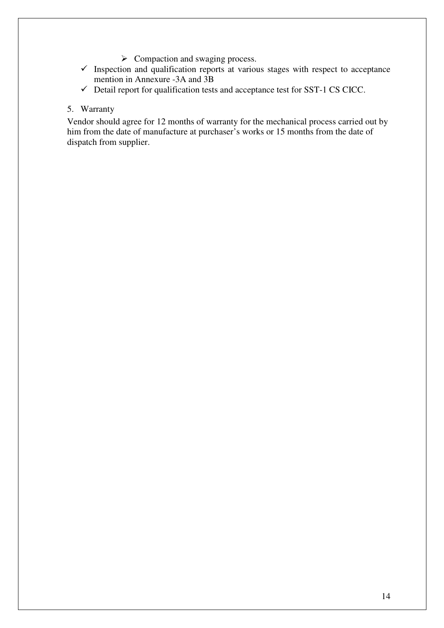- $\triangleright$  Compaction and swaging process.
- $\checkmark$  Inspection and qualification reports at various stages with respect to acceptance mention in Annexure -3A and 3B
- Detail report for qualification tests and acceptance test for SST-1 CS CICC.

### 5. Warranty

Vendor should agree for 12 months of warranty for the mechanical process carried out by him from the date of manufacture at purchaser's works or 15 months from the date of dispatch from supplier.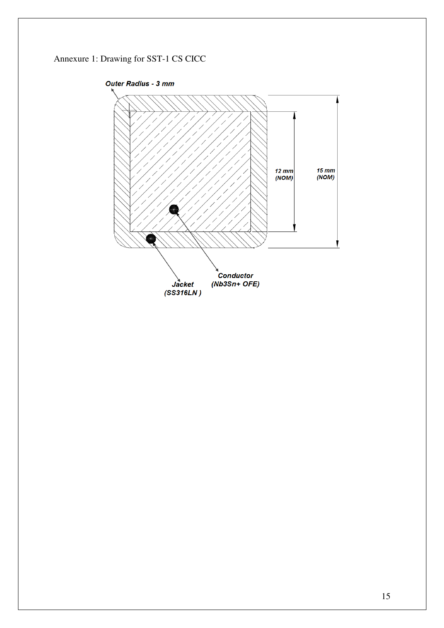# Annexure 1: Drawing for SST-1 CS CICC

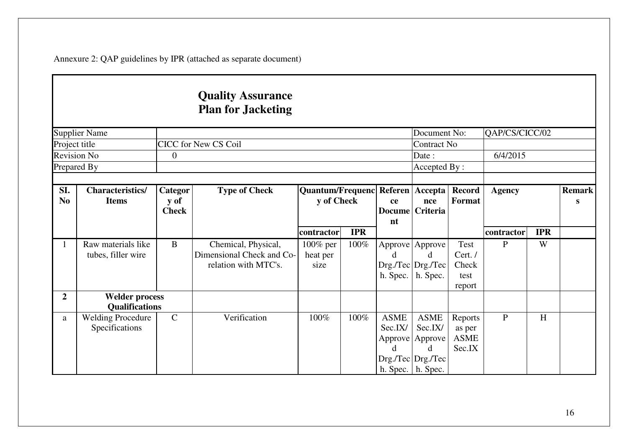Annexure 2: QAP guidelines by IPR (attached as separate document)

# **Quality Assurance Plan for Jacketing**

|                       | <b>Supplier Name</b>                           |                                 |                                                                          |                                                    |            |                             | Document No:                                                                                     |                                                  | QAP/CS/CICC/02 |            |                    |
|-----------------------|------------------------------------------------|---------------------------------|--------------------------------------------------------------------------|----------------------------------------------------|------------|-----------------------------|--------------------------------------------------------------------------------------------------|--------------------------------------------------|----------------|------------|--------------------|
|                       | Project title                                  |                                 | <b>CICC</b> for New CS Coil                                              |                                                    |            |                             | Contract No                                                                                      |                                                  |                |            |                    |
|                       | <b>Revision No</b>                             | $\theta$                        |                                                                          |                                                    |            |                             | Date:                                                                                            |                                                  | 6/4/2015       |            |                    |
|                       | Prepared By                                    |                                 |                                                                          |                                                    |            |                             | Accepted By:                                                                                     |                                                  |                |            |                    |
|                       |                                                |                                 |                                                                          |                                                    |            |                             |                                                                                                  |                                                  |                |            |                    |
| SI.<br>N <sub>0</sub> | <b>Characteristics/</b><br><b>Items</b>        | Categor<br>y of<br><b>Check</b> | <b>Type of Check</b>                                                     | Quantum/Frequenc Referen   Accepta  <br>y of Check |            | ce                          | nce<br>Docume Criteria                                                                           | <b>Record</b><br>Format                          | <b>Agency</b>  |            | <b>Remark</b><br>S |
|                       |                                                |                                 |                                                                          | contractor                                         | <b>IPR</b> | nt                          |                                                                                                  |                                                  | contractor     | <b>IPR</b> |                    |
|                       | Raw materials like<br>tubes, filler wire       | $\mathbf{B}$                    | Chemical, Physical,<br>Dimensional Check and Co-<br>relation with MTC's. | 100% per<br>heat per<br>size                       | 100%       | d<br>h. Spec.               | Approve   Approve<br>d<br>Drg./Tec Drg./Tec <br>h. Spec.                                         | <b>Test</b><br>Cert./<br>Check<br>test<br>report | $\mathbf{P}$   | W          |                    |
| $\overline{2}$        | <b>Welder process</b><br><b>Qualifications</b> |                                 |                                                                          |                                                    |            |                             |                                                                                                  |                                                  |                |            |                    |
| a                     | <b>Welding Procedure</b><br>Specifications     | $\mathcal{C}$                   | Verification                                                             | 100%                                               | 100%       | <b>ASME</b><br>Sec.IX/<br>d | <b>ASME</b><br>Sec.IX/<br>Approve   Approve<br>d<br>Drg./Tec   Drg./Tec  <br>h. Spec.   h. Spec. | Reports<br>as per<br><b>ASME</b><br>Sec.IX       | $\mathbf{P}$   | H          |                    |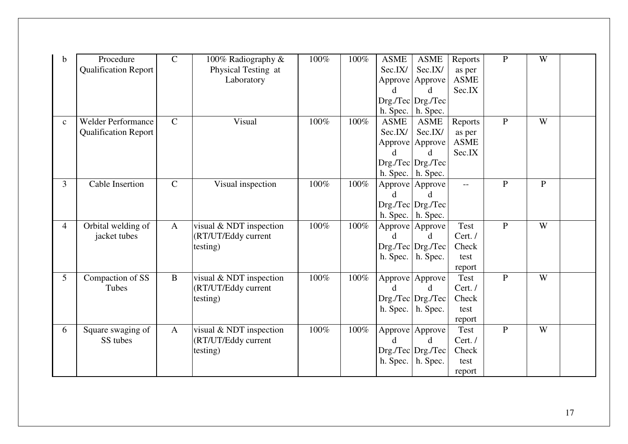| b              | Procedure<br><b>Qualification Report</b>                 | $\mathsf{C}$  | 100% Radiography &<br>Physical Testing at<br>Laboratory    | 100% | 100% | <b>ASME</b><br>Sec.IX/<br>d.<br>h. Spec. | <b>ASME</b><br>Sec.IX/<br>Approve Approve<br>$Drg./Tec$ $Drg./Tec$<br>h. Spec.                        | Reports<br>as per<br>${\rm ASME}$<br>Sec.IX | $\mathbf{P}$   | W            |  |
|----------------|----------------------------------------------------------|---------------|------------------------------------------------------------|------|------|------------------------------------------|-------------------------------------------------------------------------------------------------------|---------------------------------------------|----------------|--------------|--|
| $\mathbf{c}$   | <b>Welder Performance</b><br><b>Qualification Report</b> | $\mathcal{C}$ | Visual                                                     | 100% | 100% | <b>ASME</b><br>Sec.IX/<br>d.             | <b>ASME</b><br>Sec.IX/<br>Approve Approve<br>d.<br>$Drg./Tec$ $Drg./Tec$<br>h. Spec. $\vert$ h. Spec. | Reports<br>as per<br><b>ASME</b><br>Sec.IX  | ${\bf P}$      | W            |  |
| 3              | Cable Insertion                                          | $\mathsf{C}$  | Visual inspection                                          | 100% | 100% | d                                        | Approve Approve<br>$Drg./Tec$ $Drg./Tec$<br>h. Spec. $\vert$ h. Spec.                                 | $--$                                        | $\mathbf{P}$   | $\mathbf{P}$ |  |
| $\overline{4}$ | Orbital welding of<br>jacket tubes                       | $\mathbf{A}$  | visual & NDT inspection<br>(RT/UT/Eddy current<br>testing) | 100% | 100% | d.<br>h. Spec.                           | Approve Approve<br><sub>d</sub><br>$Drg./Tec$ Drg./Tec<br>h. Spec.                                    | Test<br>Cert./<br>Check<br>test<br>report   | $\overline{P}$ | W            |  |
| 5              | Compaction of SS<br>Tubes                                | $\mathbf{B}$  | visual & NDT inspection<br>(RT/UT/Eddy current<br>testing) | 100% | 100% | d.<br>h. Spec.                           | Approve Approve<br><sub>d</sub><br>$Drg./Tec$ $Drg./Tec$<br>h. Spec.                                  | Test<br>Cert. /<br>Check<br>test<br>report  | $\mathbf{P}$   | W            |  |
| 6              | Square swaging of<br>SS tubes                            | $\mathbf{A}$  | visual & NDT inspection<br>(RT/UT/Eddy current<br>testing) | 100% | 100% | d.<br>h. Spec.                           | Approve Approve<br><sub>d</sub><br>$Drg./Tec$ $Drg./Tec$<br>h. Spec.                                  | Test<br>Cert. /<br>Check<br>test<br>report  | ${\bf P}$      | W            |  |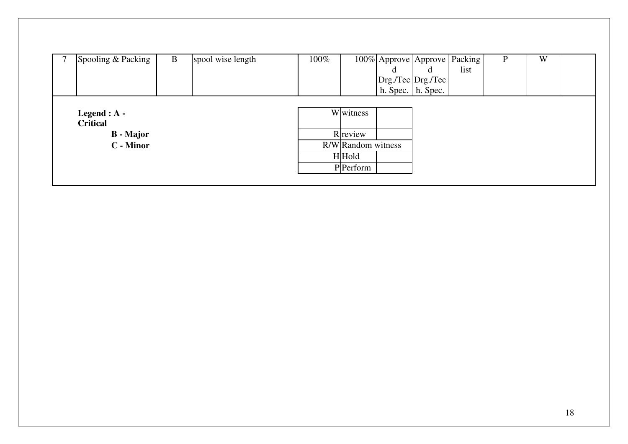| Spooling & Packing                                                 | B | spool wise length | 100% |                                            | đ<br>Drg./Tec Drg./Tec<br>h. Spec. $\vert$ h. Spec. | 100% Approve Approve Packing<br>list | P | W |  |
|--------------------------------------------------------------------|---|-------------------|------|--------------------------------------------|-----------------------------------------------------|--------------------------------------|---|---|--|
| Legend : $A -$<br><b>Critical</b><br><b>B</b> - Major<br>C - Minor |   |                   |      | Wwitness<br>R review<br>R/W Random witness |                                                     |                                      |   |   |  |
|                                                                    |   |                   |      | $H $ Hold<br>PPerform                      |                                                     |                                      |   |   |  |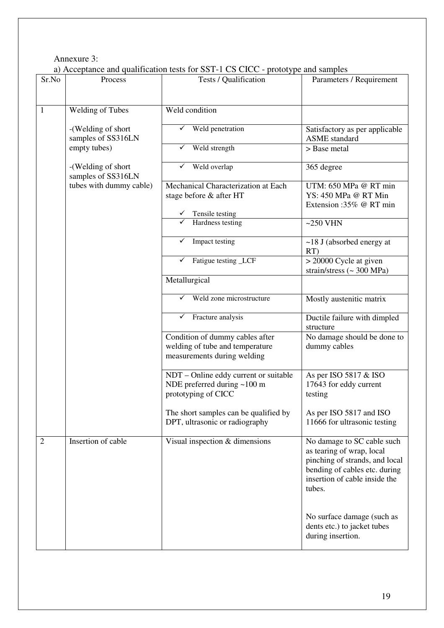# Annexure 3:

a) Acceptance and qualification tests for SST-1 CS CICC - prototype and samples

| Sr.No          | Process                 | a) Acceptance and quantication tests for $331$ -1 C3 CICC - prototype and samples<br>Tests / Qualification | Parameters / Requirement        |
|----------------|-------------------------|------------------------------------------------------------------------------------------------------------|---------------------------------|
|                |                         |                                                                                                            |                                 |
|                |                         |                                                                                                            |                                 |
| $\mathbf{1}$   | <b>Welding of Tubes</b> | Weld condition                                                                                             |                                 |
|                |                         |                                                                                                            |                                 |
|                | -(Welding of short      | Weld penetration                                                                                           | Satisfactory as per applicable  |
|                | samples of SS316LN      |                                                                                                            | <b>ASME</b> standard            |
|                | empty tubes)            | Weld strength                                                                                              | > Base metal                    |
|                |                         |                                                                                                            |                                 |
|                | -(Welding of short      | Weld overlap<br>✓                                                                                          | 365 degree                      |
|                | samples of SS316LN      |                                                                                                            |                                 |
|                | tubes with dummy cable) | Mechanical Characterization at Each                                                                        | UTM: 650 MPa @ RT min           |
|                |                         | stage before & after HT                                                                                    | YS: 450 MPa @ RT Min            |
|                |                         |                                                                                                            | Extension:35% @ RT min          |
|                |                         | $\checkmark$ Tensile testing                                                                               |                                 |
|                |                         | Hardness testing                                                                                           | $\sim$ 250 VHN                  |
|                |                         |                                                                                                            |                                 |
|                |                         | Impact testing<br>✓                                                                                        | $\sim$ 18 J (absorbed energy at |
|                |                         |                                                                                                            | RT)                             |
|                |                         | Fatigue testing _LCF<br>✓                                                                                  | $>$ 20000 Cycle at given        |
|                |                         |                                                                                                            | strain/stress $\sim$ 300 MPa)   |
|                |                         | Metallurgical                                                                                              |                                 |
|                |                         |                                                                                                            |                                 |
|                |                         | Weld zone microstructure                                                                                   | Mostly austenitic matrix        |
|                |                         |                                                                                                            |                                 |
|                |                         | Fracture analysis<br>✓                                                                                     | Ductile failure with dimpled    |
|                |                         |                                                                                                            | structure                       |
|                |                         | Condition of dummy cables after<br>welding of tube and temperature                                         | No damage should be done to     |
|                |                         | measurements during welding                                                                                | dummy cables                    |
|                |                         |                                                                                                            |                                 |
|                |                         | NDT – Online eddy current or suitable                                                                      | As per ISO 5817 & ISO           |
|                |                         | NDE preferred during $~100 \text{ m}$                                                                      | 17643 for eddy current          |
|                |                         | prototyping of CICC                                                                                        | testing                         |
|                |                         |                                                                                                            |                                 |
|                |                         | The short samples can be qualified by                                                                      | As per ISO 5817 and ISO         |
|                |                         | DPT, ultrasonic or radiography                                                                             | 11666 for ultrasonic testing    |
|                |                         |                                                                                                            |                                 |
| $\overline{2}$ | Insertion of cable      | Visual inspection & dimensions                                                                             | No damage to SC cable such      |
|                |                         |                                                                                                            | as tearing of wrap, local       |
|                |                         |                                                                                                            | pinching of strands, and local  |
|                |                         |                                                                                                            | bending of cables etc. during   |
|                |                         |                                                                                                            | insertion of cable inside the   |
|                |                         |                                                                                                            | tubes.                          |
|                |                         |                                                                                                            |                                 |
|                |                         |                                                                                                            |                                 |
|                |                         |                                                                                                            | No surface damage (such as      |
|                |                         |                                                                                                            | dents etc.) to jacket tubes     |
|                |                         |                                                                                                            | during insertion.               |
|                |                         |                                                                                                            |                                 |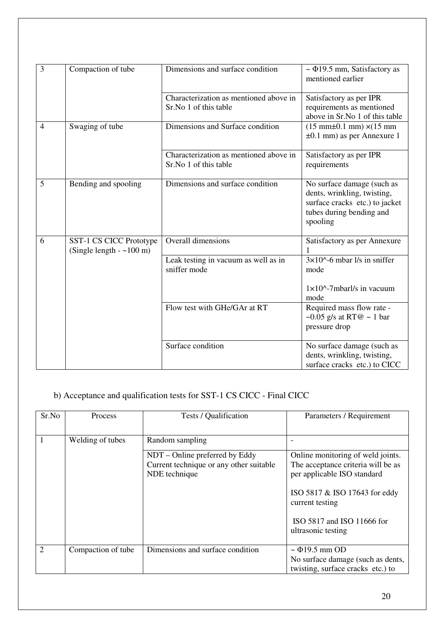| 3              | Compaction of tube                                  | Dimensions and surface condition                                | $\sim$ $\Phi$ 19.5 mm, Satisfactory as<br>mentioned earlier                                                                         |
|----------------|-----------------------------------------------------|-----------------------------------------------------------------|-------------------------------------------------------------------------------------------------------------------------------------|
|                |                                                     | Characterization as mentioned above in<br>Sr.No 1 of this table | Satisfactory as per IPR<br>requirements as mentioned<br>above in Sr.No 1 of this table                                              |
| $\overline{4}$ | Swaging of tube                                     | Dimensions and Surface condition                                | $(15 \text{ mm} \pm 0.1 \text{ mm}) \times (15 \text{ mm})$<br>$\pm 0.1$ mm) as per Annexure 1                                      |
|                |                                                     | Characterization as mentioned above in<br>Sr.No 1 of this table | Satisfactory as per IPR<br>requirements                                                                                             |
| 5              | Bending and spooling                                | Dimensions and surface condition                                | No surface damage (such as<br>dents, wrinkling, twisting,<br>surface cracks etc.) to jacket<br>tubes during bending and<br>spooling |
| 6              | SST-1 CS CICC Prototype<br>(Single length $-100$ m) | <b>Overall dimensions</b>                                       | Satisfactory as per Annexure                                                                                                        |
|                |                                                     | Leak testing in vacuum as well as in<br>sniffer mode            | $3\times10^{(-)}$ -6 mbar l/s in sniffer<br>mode                                                                                    |
|                |                                                     |                                                                 | $1 \times 10^{\circ}$ -7mbarl/s in vacuum<br>mode                                                                                   |
|                |                                                     | Flow test with GHe/GAr at RT                                    | Required mass flow rate -<br>~0.05 g/s at RT@ ~ 1 bar<br>pressure drop                                                              |
|                |                                                     | Surface condition                                               | No surface damage (such as<br>dents, wrinkling, twisting,<br>surface cracks etc.) to CICC                                           |

# b) Acceptance and qualification tests for SST-1 CS CICC - Final CICC

| Sr.No                       | Process            | Tests / Qualification                                                                      | Parameters / Requirement                                                                                                                                                                                       |
|-----------------------------|--------------------|--------------------------------------------------------------------------------------------|----------------------------------------------------------------------------------------------------------------------------------------------------------------------------------------------------------------|
|                             | Welding of tubes   | Random sampling                                                                            |                                                                                                                                                                                                                |
|                             |                    | NDT – Online preferred by Eddy<br>Current technique or any other suitable<br>NDE technique | Online monitoring of weld joints.<br>The acceptance criteria will be as<br>per applicable ISO standard<br>ISO 5817 & ISO 17643 for eddy<br>current testing<br>ISO 5817 and ISO 11666 for<br>ultrasonic testing |
| $\mathcal{D}_{\mathcal{L}}$ | Compaction of tube | Dimensions and surface condition                                                           | $\sim$ $\Phi$ 19.5 mm OD<br>No surface damage (such as dents,<br>twisting, surface cracks etc.) to                                                                                                             |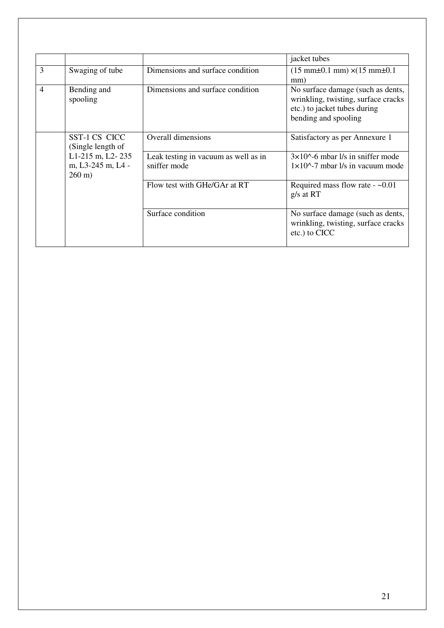|                |                                                            |                                                      | jacket tubes                                                                                                                     |
|----------------|------------------------------------------------------------|------------------------------------------------------|----------------------------------------------------------------------------------------------------------------------------------|
| 3              | Swaging of tube                                            | Dimensions and surface condition                     | $(15 \text{ mm} \pm 0.1 \text{ mm}) \times (15 \text{ mm} \pm 0.1$<br>mm)                                                        |
| $\overline{4}$ | Bending and<br>spooling                                    | Dimensions and surface condition                     | No surface damage (such as dents,<br>wrinkling, twisting, surface cracks<br>etc.) to jacket tubes during<br>bending and spooling |
|                | SST-1 CS CICC<br>(Single length of                         | Overall dimensions                                   | Satisfactory as per Annexure 1                                                                                                   |
|                | L1-215 m, L2-235<br>m, L3-245 m, L4 -<br>$260 \text{ m}$ ) | Leak testing in vacuum as well as in<br>sniffer mode | $3\times10^{6}$ -6 mbar l/s in sniffer mode<br>$1 \times 10^{6}$ -7 mbar $1/s$ in vacuum mode                                    |
|                |                                                            | Flow test with GHe/GAr at RT                         | Required mass flow rate - $~0.01$<br>$g/s$ at RT                                                                                 |
|                |                                                            | Surface condition                                    | No surface damage (such as dents,<br>wrinkling, twisting, surface cracks<br>etc.) to CICC                                        |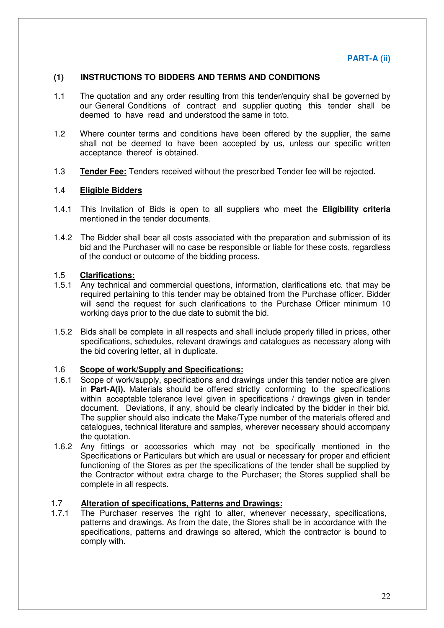## **(1) INSTRUCTIONS TO BIDDERS AND TERMS AND CONDITIONS**

- 1.1 The quotation and any order resulting from this tender/enquiry shall be governed by our General Conditions of contract and supplier quoting this tender shall be deemed to have read and understood the same in toto.
- 1.2 Where counter terms and conditions have been offered by the supplier, the same shall not be deemed to have been accepted by us, unless our specific written acceptance thereof is obtained.
- 1.3 **Tender Fee:** Tenders received without the prescribed Tender fee will be rejected.

### 1.4 **Eligible Bidders**

- 1.4.1 This Invitation of Bids is open to all suppliers who meet the **Eligibility criteria** mentioned in the tender documents.
- 1.4.2 The Bidder shall bear all costs associated with the preparation and submission of its bid and the Purchaser will no case be responsible or liable for these costs, regardless of the conduct or outcome of the bidding process.

### 1.5 **Clarifications:**

- 1.5.1 Any technical and commercial questions, information, clarifications etc. that may be required pertaining to this tender may be obtained from the Purchase officer. Bidder will send the request for such clarifications to the Purchase Officer minimum 10 working days prior to the due date to submit the bid.
- 1.5.2 Bids shall be complete in all respects and shall include properly filled in prices, other specifications, schedules, relevant drawings and catalogues as necessary along with the bid covering letter, all in duplicate.

### 1.6 **Scope of work/Supply and Specifications:**

- 1.6.1 Scope of work/supply, specifications and drawings under this tender notice are given in **Part-A(i).** Materials should be offered strictly conforming to the specifications within acceptable tolerance level given in specifications / drawings given in tender document. Deviations, if any, should be clearly indicated by the bidder in their bid. The supplier should also indicate the Make/Type number of the materials offered and catalogues, technical literature and samples, wherever necessary should accompany the quotation.
- 1.6.2 Any fittings or accessories which may not be specifically mentioned in the Specifications or Particulars but which are usual or necessary for proper and efficient functioning of the Stores as per the specifications of the tender shall be supplied by the Contractor without extra charge to the Purchaser; the Stores supplied shall be complete in all respects.

### 1.7 **Alteration of specifications, Patterns and Drawings:**

1.7.1 The Purchaser reserves the right to alter, whenever necessary, specifications, patterns and drawings. As from the date, the Stores shall be in accordance with the specifications, patterns and drawings so altered, which the contractor is bound to comply with.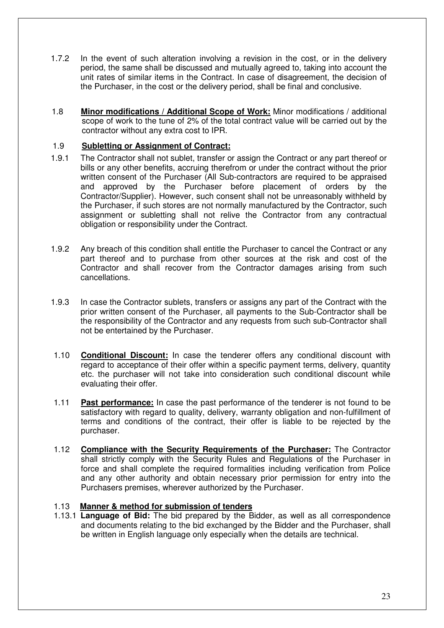- 1.7.2 In the event of such alteration involving a revision in the cost, or in the delivery period, the same shall be discussed and mutually agreed to, taking into account the unit rates of similar items in the Contract. In case of disagreement, the decision of the Purchaser, in the cost or the delivery period, shall be final and conclusive.
- 1.8 **Minor modifications / Additional Scope of Work:** Minor modifications / additional scope of work to the tune of 2% of the total contract value will be carried out by the contractor without any extra cost to IPR.

# 1.9 **Subletting or Assignment of Contract:**

- 1.9.1 The Contractor shall not sublet, transfer or assign the Contract or any part thereof or bills or any other benefits, accruing therefrom or under the contract without the prior written consent of the Purchaser (All Sub-contractors are required to be appraised and approved by the Purchaser before placement of orders by the Contractor/Supplier). However, such consent shall not be unreasonably withheld by the Purchaser, if such stores are not normally manufactured by the Contractor, such assignment or subletting shall not relive the Contractor from any contractual obligation or responsibility under the Contract.
- 1.9.2 Any breach of this condition shall entitle the Purchaser to cancel the Contract or any part thereof and to purchase from other sources at the risk and cost of the Contractor and shall recover from the Contractor damages arising from such cancellations.
- 1.9.3 In case the Contractor sublets, transfers or assigns any part of the Contract with the prior written consent of the Purchaser, all payments to the Sub-Contractor shall be the responsibility of the Contractor and any requests from such sub-Contractor shall not be entertained by the Purchaser.
- 1.10 **Conditional Discount:** In case the tenderer offers any conditional discount with regard to acceptance of their offer within a specific payment terms, delivery, quantity etc. the purchaser will not take into consideration such conditional discount while evaluating their offer.
- 1.11 **Past performance:** In case the past performance of the tenderer is not found to be satisfactory with regard to quality, delivery, warranty obligation and non-fulfillment of terms and conditions of the contract, their offer is liable to be rejected by the purchaser.
- 1.12 **Compliance with the Security Requirements of the Purchaser:** The Contractor shall strictly comply with the Security Rules and Regulations of the Purchaser in force and shall complete the required formalities including verification from Police and any other authority and obtain necessary prior permission for entry into the Purchasers premises, wherever authorized by the Purchaser.

# 1.13 **Manner & method for submission of tenders**

1.13.1 **Language of Bid:** The bid prepared by the Bidder, as well as all correspondence and documents relating to the bid exchanged by the Bidder and the Purchaser, shall be written in English language only especially when the details are technical.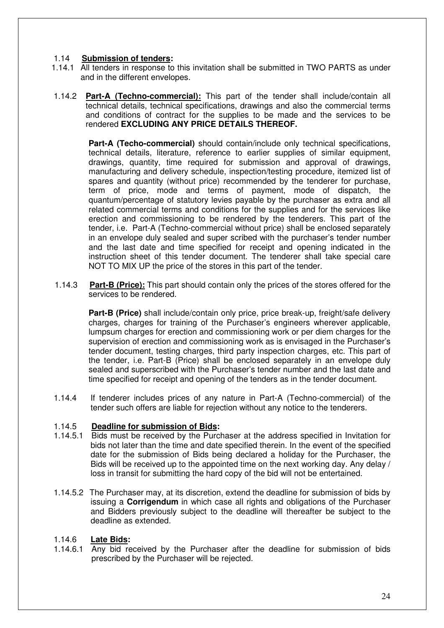# 1.14 **Submission of tenders:**

- 1.14.1 All tenders in response to this invitation shall be submitted in TWO PARTS as under and in the different envelopes.
- 1.14.2 **Part-A (Techno-commercial):** This part of the tender shall include/contain all technical details, technical specifications, drawings and also the commercial terms and conditions of contract for the supplies to be made and the services to be rendered **EXCLUDING ANY PRICE DETAILS THEREOF.**

**Part-A (Techo-commercial)** should contain/include only technical specifications, technical details, literature, reference to earlier supplies of similar equipment, drawings, quantity, time required for submission and approval of drawings, manufacturing and delivery schedule, inspection/testing procedure, itemized list of spares and quantity (without price) recommended by the tenderer for purchase, term of price, mode and terms of payment, mode of dispatch, the quantum/percentage of statutory levies payable by the purchaser as extra and all related commercial terms and conditions for the supplies and for the services like erection and commissioning to be rendered by the tenderers. This part of the tender, i.e. Part-A (Techno-commercial without price) shall be enclosed separately in an envelope duly sealed and super scribed with the purchaser's tender number and the last date and time specified for receipt and opening indicated in the instruction sheet of this tender document. The tenderer shall take special care NOT TO MIX UP the price of the stores in this part of the tender.

1.14.3 **Part-B (Price):** This part should contain only the prices of the stores offered for the services to be rendered.

**Part-B (Price)** shall include/contain only price, price break-up, freight/safe delivery charges, charges for training of the Purchaser's engineers wherever applicable, lumpsum charges for erection and commissioning work or per diem charges for the supervision of erection and commissioning work as is envisaged in the Purchaser's tender document, testing charges, third party inspection charges, etc. This part of the tender, i.e. Part-B (Price) shall be enclosed separately in an envelope duly sealed and superscribed with the Purchaser's tender number and the last date and time specified for receipt and opening of the tenders as in the tender document.

1.14.4 If tenderer includes prices of any nature in Part-A (Techno-commercial) of the tender such offers are liable for rejection without any notice to the tenderers.

### 1.14.5 **Deadline for submission of Bids:**

- 1.14.5.1 Bids must be received by the Purchaser at the address specified in Invitation for bids not later than the time and date specified therein. In the event of the specified date for the submission of Bids being declared a holiday for the Purchaser, the Bids will be received up to the appointed time on the next working day. Any delay / loss in transit for submitting the hard copy of the bid will not be entertained.
- 1.14.5.2 The Purchaser may, at its discretion, extend the deadline for submission of bids by issuing a **Corrigendum** in which case all rights and obligations of the Purchaser and Bidders previously subject to the deadline will thereafter be subject to the deadline as extended.

### 1.14.6 **Late Bids:**

1.14.6.1 Any bid received by the Purchaser after the deadline for submission of bids prescribed by the Purchaser will be rejected.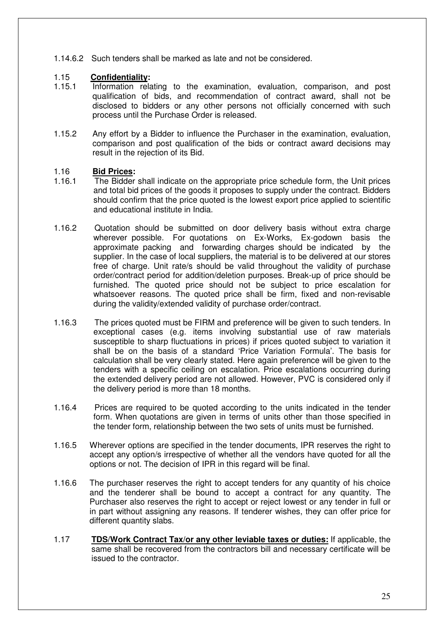1.14.6.2 Such tenders shall be marked as late and not be considered.

# 1.15 **Confidentiality:**

- 1.15.1 Information relating to the examination, evaluation, comparison, and post qualification of bids, and recommendation of contract award, shall not be disclosed to bidders or any other persons not officially concerned with such process until the Purchase Order is released.
- 1.15.2 Any effort by a Bidder to influence the Purchaser in the examination, evaluation, comparison and post qualification of the bids or contract award decisions may result in the rejection of its Bid.

### 1.16 **Bid Prices:**

- 1.16.1 The Bidder shall indicate on the appropriate price schedule form, the Unit prices and total bid prices of the goods it proposes to supply under the contract. Bidders should confirm that the price quoted is the lowest export price applied to scientific and educational institute in India.
- 1.16.2 Quotation should be submitted on door delivery basis without extra charge wherever possible. For quotations on Ex-Works, Ex-godown basis the approximate packing and forwarding charges should be indicated by the supplier. In the case of local suppliers, the material is to be delivered at our stores free of charge. Unit rate/s should be valid throughout the validity of purchase order/contract period for addition/deletion purposes. Break-up of price should be furnished. The quoted price should not be subject to price escalation for whatsoever reasons. The quoted price shall be firm, fixed and non-revisable during the validity/extended validity of purchase order/contract.
- 1.16.3 The prices quoted must be FIRM and preference will be given to such tenders. In exceptional cases (e.g. items involving substantial use of raw materials susceptible to sharp fluctuations in prices) if prices quoted subject to variation it shall be on the basis of a standard 'Price Variation Formula'. The basis for calculation shall be very clearly stated. Here again preference will be given to the tenders with a specific ceiling on escalation. Price escalations occurring during the extended delivery period are not allowed. However, PVC is considered only if the delivery period is more than 18 months.
- 1.16.4 Prices are required to be quoted according to the units indicated in the tender form. When quotations are given in terms of units other than those specified in the tender form, relationship between the two sets of units must be furnished.
- 1.16.5 Wherever options are specified in the tender documents, IPR reserves the right to accept any option/s irrespective of whether all the vendors have quoted for all the options or not. The decision of IPR in this regard will be final.
- 1.16.6 The purchaser reserves the right to accept tenders for any quantity of his choice and the tenderer shall be bound to accept a contract for any quantity. The Purchaser also reserves the right to accept or reject lowest or any tender in full or in part without assigning any reasons. If tenderer wishes, they can offer price for different quantity slabs.
- 1.17 **TDS/Work Contract Tax/or any other leviable taxes or duties:** If applicable, the same shall be recovered from the contractors bill and necessary certificate will be issued to the contractor.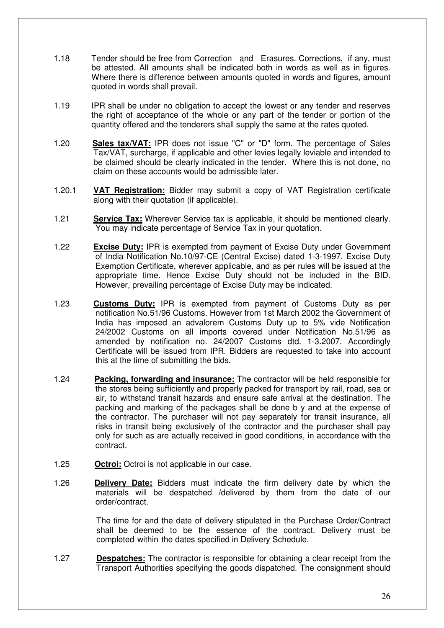- 1.18 Tender should be free from Correction and Erasures. Corrections, if any, must be attested. All amounts shall be indicated both in words as well as in figures. Where there is difference between amounts quoted in words and figures, amount quoted in words shall prevail.
- 1.19 IPR shall be under no obligation to accept the lowest or any tender and reserves the right of acceptance of the whole or any part of the tender or portion of the quantity offered and the tenderers shall supply the same at the rates quoted.
- 1.20 **Sales tax/VAT:** IPR does not issue "C" or "D" form. The percentage of Sales Tax/VAT, surcharge, if applicable and other levies legally leviable and intended to be claimed should be clearly indicated in the tender. Where this is not done, no claim on these accounts would be admissible later.
- 1.20.1 **VAT Registration:** Bidder may submit a copy of VAT Registration certificate along with their quotation (if applicable).
- 1.21 **Service Tax:** Wherever Service tax is applicable, it should be mentioned clearly. You may indicate percentage of Service Tax in your quotation.
- 1.22 **Excise Duty:** IPR is exempted from payment of Excise Duty under Government of India Notification No.10/97-CE (Central Excise) dated 1-3-1997. Excise Duty Exemption Certificate, wherever applicable, and as per rules will be issued at the appropriate time. Hence Excise Duty should not be included in the BID. However, prevailing percentage of Excise Duty may be indicated.
- 1.23 **Customs Duty:** IPR is exempted from payment of Customs Duty as per notification No.51/96 Customs. However from 1st March 2002 the Government of India has imposed an advalorem Customs Duty up to 5% vide Notification 24/2002 Customs on all imports covered under Notification No.51/96 as amended by notification no. 24/2007 Customs dtd. 1-3.2007. Accordingly Certificate will be issued from IPR. Bidders are requested to take into account this at the time of submitting the bids.
- 1.24 **Packing, forwarding and insurance:** The contractor will be held responsible for the stores being sufficiently and properly packed for transport by rail, road, sea or air, to withstand transit hazards and ensure safe arrival at the destination. The packing and marking of the packages shall be done b y and at the expense of the contractor. The purchaser will not pay separately for transit insurance, all risks in transit being exclusively of the contractor and the purchaser shall pay only for such as are actually received in good conditions, in accordance with the contract.
- 1.25 **Octroi:** Octroi is not applicable in our case.
- 1.26 **Delivery Date:** Bidders must indicate the firm delivery date by which the materials will be despatched /delivered by them from the date of our order/contract.

The time for and the date of delivery stipulated in the Purchase Order/Contract shall be deemed to be the essence of the contract. Delivery must be completed within the dates specified in Delivery Schedule.

1.27 **Despatches:** The contractor is responsible for obtaining a clear receipt from the Transport Authorities specifying the goods dispatched. The consignment should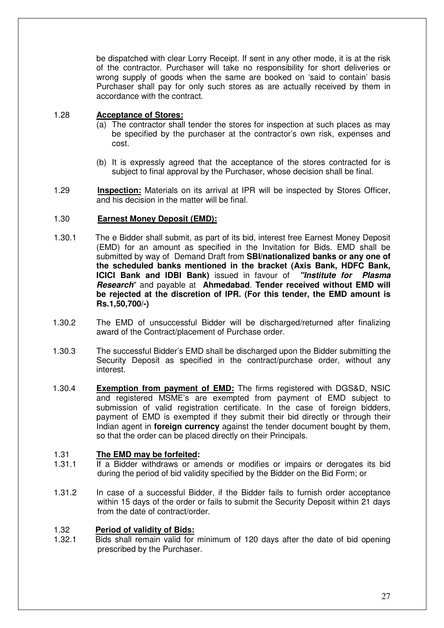be dispatched with clear Lorry Receipt. If sent in any other mode, it is at the risk of the contractor. Purchaser will take no responsibility for short deliveries or wrong supply of goods when the same are booked on 'said to contain' basis Purchaser shall pay for only such stores as are actually received by them in accordance with the contract.

# 1.28 **Acceptance of Stores:**

- (a) The contractor shall tender the stores for inspection at such places as may be specified by the purchaser at the contractor's own risk, expenses and cost.
- (b) It is expressly agreed that the acceptance of the stores contracted for is subject to final approval by the Purchaser, whose decision shall be final.
- 1.29 **Inspection:** Materials on its arrival at IPR will be inspected by Stores Officer, and his decision in the matter will be final.

# 1.30 **Earnest Money Deposit (EMD):**

- 1.30.1 The e Bidder shall submit, as part of its bid, interest free Earnest Money Deposit (EMD) for an amount as specified in the Invitation for Bids. EMD shall be submitted by way of Demand Draft from **SBI/nationalized banks or any one of the scheduled banks mentioned in the bracket (Axis Bank, HDFC Bank, ICICI Bank and IDBI Bank)** issued in favour of **"Institute for Plasma Research**" and payable at **Ahmedabad**. **Tender received without EMD will be rejected at the discretion of IPR. (For this tender, the EMD amount is Rs.1,50,700/-)**
- 1.30.2 The EMD of unsuccessful Bidder will be discharged/returned after finalizing award of the Contract/placement of Purchase order.
- 1.30.3 The successful Bidder's EMD shall be discharged upon the Bidder submitting the Security Deposit as specified in the contract/purchase order, without any interest.
- 1.30.4 **Exemption from payment of EMD:** The firms registered with DGS&D, NSIC and registered MSME's are exempted from payment of EMD subject to submission of valid registration certificate. In the case of foreign bidders, payment of EMD is exempted if they submit their bid directly or through their Indian agent in **foreign currency** against the tender document bought by them, so that the order can be placed directly on their Principals.

### 1.31 **The EMD may be forfeited:**

- 1.31.1 If a Bidder withdraws or amends or modifies or impairs or derogates its bid during the period of bid validity specified by the Bidder on the Bid Form; or
- 1.31.2 In case of a successful Bidder, if the Bidder fails to furnish order acceptance within 15 days of the order or fails to submit the Security Deposit within 21 days from the date of contract/order.

# 1.32 **Period of validity of Bids:**

1.32.1 Bids shall remain valid for minimum of 120 days after the date of bid opening prescribed by the Purchaser.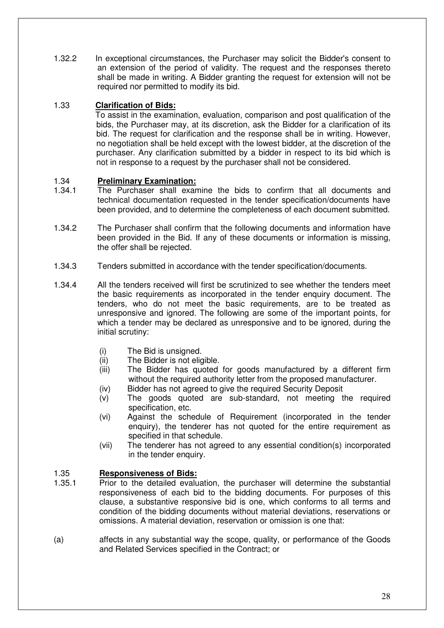1.32.2 In exceptional circumstances, the Purchaser may solicit the Bidder's consent to an extension of the period of validity. The request and the responses thereto shall be made in writing. A Bidder granting the request for extension will not be required nor permitted to modify its bid.

# 1.33 **Clarification of Bids:**

To assist in the examination, evaluation, comparison and post qualification of the bids, the Purchaser may, at its discretion, ask the Bidder for a clarification of its bid. The request for clarification and the response shall be in writing. However, no negotiation shall be held except with the lowest bidder, at the discretion of the purchaser. Any clarification submitted by a bidder in respect to its bid which is not in response to a request by the purchaser shall not be considered.

# 1.34 **Preliminary Examination:**

- 1.34.1 The Purchaser shall examine the bids to confirm that all documents and technical documentation requested in the tender specification/documents have been provided, and to determine the completeness of each document submitted.
- 1.34.2 The Purchaser shall confirm that the following documents and information have been provided in the Bid. If any of these documents or information is missing, the offer shall be rejected.
- 1.34.3 Tenders submitted in accordance with the tender specification/documents.
- 1.34.4 All the tenders received will first be scrutinized to see whether the tenders meet the basic requirements as incorporated in the tender enquiry document. The tenders, who do not meet the basic requirements, are to be treated as unresponsive and ignored. The following are some of the important points, for which a tender may be declared as unresponsive and to be ignored, during the initial scrutiny:
	- (i) The Bid is unsigned.
	- (ii) The Bidder is not eligible.
	- (iii) The Bidder has quoted for goods manufactured by a different firm without the required authority letter from the proposed manufacturer.
	- (iv) Bidder has not agreed to give the required Security Deposit
	- (v) The goods quoted are sub-standard, not meeting the required specification, etc.
	- (vi) Against the schedule of Requirement (incorporated in the tender enquiry), the tenderer has not quoted for the entire requirement as specified in that schedule.
	- (vii) The tenderer has not agreed to any essential condition(s) incorporated in the tender enquiry.

### 1.35 **Responsiveness of Bids:**

- 1.35.1 Prior to the detailed evaluation, the purchaser will determine the substantial responsiveness of each bid to the bidding documents. For purposes of this clause, a substantive responsive bid is one, which conforms to all terms and condition of the bidding documents without material deviations, reservations or omissions. A material deviation, reservation or omission is one that:
- (a) affects in any substantial way the scope, quality, or performance of the Goods and Related Services specified in the Contract; or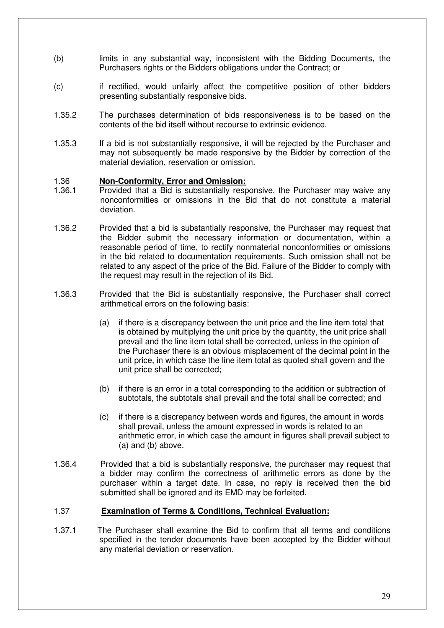- (b) limits in any substantial way, inconsistent with the Bidding Documents, the Purchasers rights or the Bidders obligations under the Contract; or
- (c) if rectified, would unfairly affect the competitive position of other bidders presenting substantially responsive bids.
- 1.35.2 The purchases determination of bids responsiveness is to be based on the contents of the bid itself without recourse to extrinsic evidence.
- 1.35.3 If a bid is not substantially responsive, it will be rejected by the Purchaser and may not subsequently be made responsive by the Bidder by correction of the material deviation, reservation or omission.

#### 1.36 **Non-Conformity, Error and Omission:**

- 1.36.1 Provided that a Bid is substantially responsive, the Purchaser may waive any nonconformities or omissions in the Bid that do not constitute a material deviation.
- 1.36.2 Provided that a bid is substantially responsive, the Purchaser may request that the Bidder submit the necessary information or documentation, within a reasonable period of time, to rectify nonmaterial nonconformities or omissions in the bid related to documentation requirements. Such omission shall not be related to any aspect of the price of the Bid. Failure of the Bidder to comply with the request may result in the rejection of its Bid.
- 1.36.3 Provided that the Bid is substantially responsive, the Purchaser shall correct arithmetical errors on the following basis:
	- (a) if there is a discrepancy between the unit price and the line item total that is obtained by multiplying the unit price by the quantity, the unit price shall prevail and the line item total shall be corrected, unless in the opinion of the Purchaser there is an obvious misplacement of the decimal point in the unit price, in which case the line item total as quoted shall govern and the unit price shall be corrected;
	- (b) if there is an error in a total corresponding to the addition or subtraction of subtotals, the subtotals shall prevail and the total shall be corrected; and
	- (c) if there is a discrepancy between words and figures, the amount in words shall prevail, unless the amount expressed in words is related to an arithmetic error, in which case the amount in figures shall prevail subject to (a) and (b) above.
- 1.36.4 Provided that a bid is substantially responsive, the purchaser may request that a bidder may confirm the correctness of arithmetic errors as done by the purchaser within a target date. In case, no reply is received then the bid submitted shall be ignored and its EMD may be forfeited.

### 1.37 **Examination of Terms & Conditions, Technical Evaluation:**

1.37.1 The Purchaser shall examine the Bid to confirm that all terms and conditions specified in the tender documents have been accepted by the Bidder without any material deviation or reservation.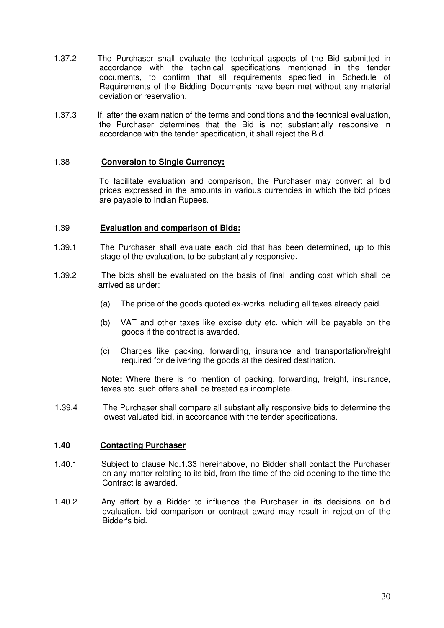- 1.37.2 The Purchaser shall evaluate the technical aspects of the Bid submitted in accordance with the technical specifications mentioned in the tender documents, to confirm that all requirements specified in Schedule of Requirements of the Bidding Documents have been met without any material deviation or reservation.
- 1.37.3 If, after the examination of the terms and conditions and the technical evaluation, the Purchaser determines that the Bid is not substantially responsive in accordance with the tender specification, it shall reject the Bid.

# 1.38 **Conversion to Single Currency:**

 To facilitate evaluation and comparison, the Purchaser may convert all bid prices expressed in the amounts in various currencies in which the bid prices are payable to Indian Rupees.

### 1.39 **Evaluation and comparison of Bids:**

- 1.39.1 The Purchaser shall evaluate each bid that has been determined, up to this stage of the evaluation, to be substantially responsive.
- 1.39.2 The bids shall be evaluated on the basis of final landing cost which shall be arrived as under:
	- (a) The price of the goods quoted ex-works including all taxes already paid.
	- (b) VAT and other taxes like excise duty etc. which will be payable on the goods if the contract is awarded.
	- (c) Charges like packing, forwarding, insurance and transportation/freight required for delivering the goods at the desired destination.

**Note:** Where there is no mention of packing, forwarding, freight, insurance, taxes etc. such offers shall be treated as incomplete.

1.39.4 The Purchaser shall compare all substantially responsive bids to determine the lowest valuated bid, in accordance with the tender specifications.

#### **1.40 Contacting Purchaser**

- 1.40.1 Subject to clause No.1.33 hereinabove, no Bidder shall contact the Purchaser on any matter relating to its bid, from the time of the bid opening to the time the Contract is awarded.
- 1.40.2 Any effort by a Bidder to influence the Purchaser in its decisions on bid evaluation, bid comparison or contract award may result in rejection of the Bidder's bid.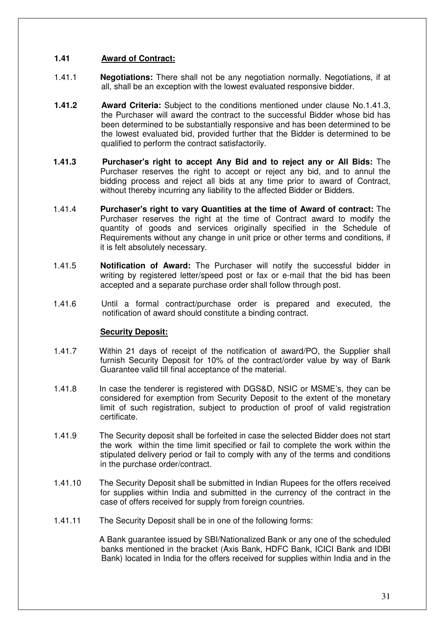# **1.41 Award of Contract:**

- 1.41.1 **Negotiations:** There shall not be any negotiation normally. Negotiations, if at all, shall be an exception with the lowest evaluated responsive bidder.
- **1.41.2 Award Criteria:** Subject to the conditions mentioned under clause No.1.41.3, the Purchaser will award the contract to the successful Bidder whose bid has been determined to be substantially responsive and has been determined to be the lowest evaluated bid, provided further that the Bidder is determined to be qualified to perform the contract satisfactorily.
- **1.41.3 Purchaser's right to accept Any Bid and to reject any or All Bids:** The Purchaser reserves the right to accept or reject any bid, and to annul the bidding process and reject all bids at any time prior to award of Contract, without thereby incurring any liability to the affected Bidder or Bidders.
- 1.41.4 **Purchaser's right to vary Quantities at the time of Award of contract:** The Purchaser reserves the right at the time of Contract award to modify the quantity of goods and services originally specified in the Schedule of Requirements without any change in unit price or other terms and conditions, if it is felt absolutely necessary.
- 1.41.5 **Notification of Award:** The Purchaser will notify the successful bidder in writing by registered letter/speed post or fax or e-mail that the bid has been accepted and a separate purchase order shall follow through post.
- 1.41.6 Until a formal contract/purchase order is prepared and executed, the notification of award should constitute a binding contract.

### **Security Deposit:**

- 1.41.7 Within 21 days of receipt of the notification of award/PO, the Supplier shall furnish Security Deposit for 10% of the contract/order value by way of Bank Guarantee valid till final acceptance of the material.
- 1.41.8 In case the tenderer is registered with DGS&D, NSIC or MSME's, they can be considered for exemption from Security Deposit to the extent of the monetary limit of such registration, subject to production of proof of valid registration certificate.
- 1.41.9 The Security deposit shall be forfeited in case the selected Bidder does not start the work within the time limit specified or fail to complete the work within the stipulated delivery period or fail to comply with any of the terms and conditions in the purchase order/contract.
- 1.41.10 The Security Deposit shall be submitted in Indian Rupees for the offers received for supplies within India and submitted in the currency of the contract in the case of offers received for supply from foreign countries.
- 1.41.11 The Security Deposit shall be in one of the following forms:

 A Bank guarantee issued by SBI/Nationalized Bank or any one of the scheduled banks mentioned in the bracket (Axis Bank, HDFC Bank, ICICI Bank and IDBI Bank) located in India for the offers received for supplies within India and in the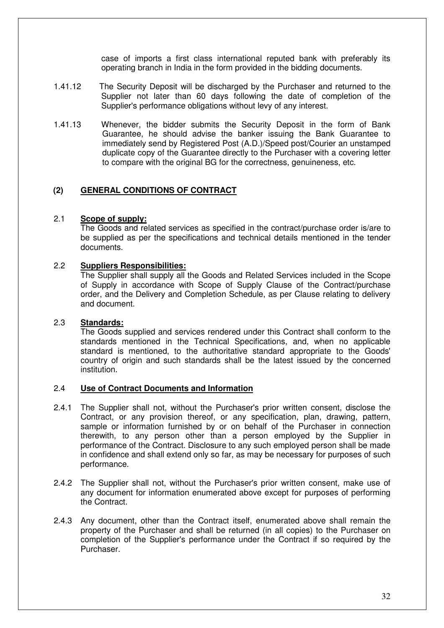case of imports a first class international reputed bank with preferably its operating branch in India in the form provided in the bidding documents.

- 1.41.12 The Security Deposit will be discharged by the Purchaser and returned to the Supplier not later than 60 days following the date of completion of the Supplier's performance obligations without levy of any interest.
- 1.41.13 Whenever, the bidder submits the Security Deposit in the form of Bank Guarantee, he should advise the banker issuing the Bank Guarantee to immediately send by Registered Post (A.D.)/Speed post/Courier an unstamped duplicate copy of the Guarantee directly to the Purchaser with a covering letter to compare with the original BG for the correctness, genuineness, etc.

# **(2) GENERAL CONDITIONS OF CONTRACT**

#### 2.1 **Scope of supply:**

The Goods and related services as specified in the contract/purchase order is/are to be supplied as per the specifications and technical details mentioned in the tender documents.

#### 2.2 **Suppliers Responsibilities:**

The Supplier shall supply all the Goods and Related Services included in the Scope of Supply in accordance with Scope of Supply Clause of the Contract/purchase order, and the Delivery and Completion Schedule, as per Clause relating to delivery and document.

### 2.3 **Standards:**

The Goods supplied and services rendered under this Contract shall conform to the standards mentioned in the Technical Specifications, and, when no applicable standard is mentioned, to the authoritative standard appropriate to the Goods' country of origin and such standards shall be the latest issued by the concerned institution.

# 2.4 **Use of Contract Documents and Information**

- 2.4.1 The Supplier shall not, without the Purchaser's prior written consent, disclose the Contract, or any provision thereof, or any specification, plan, drawing, pattern, sample or information furnished by or on behalf of the Purchaser in connection therewith, to any person other than a person employed by the Supplier in performance of the Contract. Disclosure to any such employed person shall be made in confidence and shall extend only so far, as may be necessary for purposes of such performance.
- 2.4.2 The Supplier shall not, without the Purchaser's prior written consent, make use of any document for information enumerated above except for purposes of performing the Contract.
- 2.4.3 Any document, other than the Contract itself, enumerated above shall remain the property of the Purchaser and shall be returned (in all copies) to the Purchaser on completion of the Supplier's performance under the Contract if so required by the Purchaser.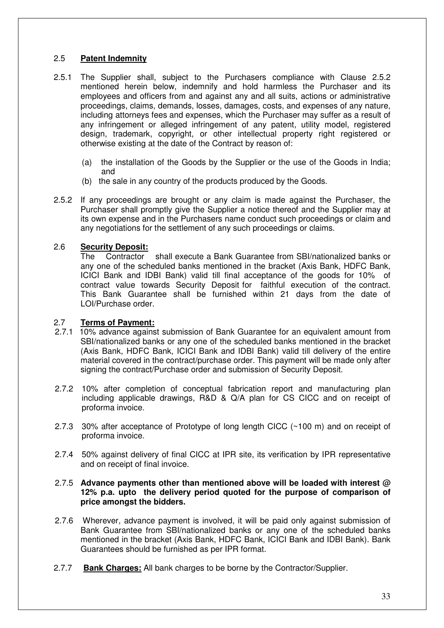# 2.5 **Patent Indemnity**

- 2.5.1 The Supplier shall, subject to the Purchasers compliance with Clause 2.5.2 mentioned herein below, indemnify and hold harmless the Purchaser and its employees and officers from and against any and all suits, actions or administrative proceedings, claims, demands, losses, damages, costs, and expenses of any nature, including attorneys fees and expenses, which the Purchaser may suffer as a result of any infringement or alleged infringement of any patent, utility model, registered design, trademark, copyright, or other intellectual property right registered or otherwise existing at the date of the Contract by reason of:
	- (a) the installation of the Goods by the Supplier or the use of the Goods in India; and
	- (b) the sale in any country of the products produced by the Goods.
- 2.5.2 If any proceedings are brought or any claim is made against the Purchaser, the Purchaser shall promptly give the Supplier a notice thereof and the Supplier may at its own expense and in the Purchasers name conduct such proceedings or claim and any negotiations for the settlement of any such proceedings or claims.

# 2.6 **Security Deposit:**

 The Contractor shall execute a Bank Guarantee from SBI/nationalized banks or any one of the scheduled banks mentioned in the bracket (Axis Bank, HDFC Bank, ICICI Bank and IDBI Bank) valid till final acceptance of the goods for 10% of contract value towards Security Deposit for faithful execution of the contract. This Bank Guarantee shall be furnished within 21 days from the date of LOI/Purchase order.

### 2.7 **Terms of Payment:**

- 2.7.1 10% advance against submission of Bank Guarantee for an equivalent amount from SBI/nationalized banks or any one of the scheduled banks mentioned in the bracket (Axis Bank, HDFC Bank, ICICI Bank and IDBI Bank) valid till delivery of the entire material covered in the contract/purchase order. This payment will be made only after signing the contract/Purchase order and submission of Security Deposit.
- 2.7.2 10% after completion of conceptual fabrication report and manufacturing plan including applicable drawings, R&D & Q/A plan for CS CICC and on receipt of proforma invoice.
- 2.7.3 30% after acceptance of Prototype of long length CICC (~100 m) and on receipt of proforma invoice.
- 2.7.4 50% against delivery of final CICC at IPR site, its verification by IPR representative and on receipt of final invoice.

#### 2.7.5 **Advance payments other than mentioned above will be loaded with interest @ 12% p.a. upto the delivery period quoted for the purpose of comparison of price amongst the bidders.**

- 2.7.6 Wherever, advance payment is involved, it will be paid only against submission of Bank Guarantee from SBI/nationalized banks or any one of the scheduled banks mentioned in the bracket (Axis Bank, HDFC Bank, ICICI Bank and IDBI Bank). Bank Guarantees should be furnished as per IPR format.
- 2.7.7 **Bank Charges:** All bank charges to be borne by the Contractor/Supplier.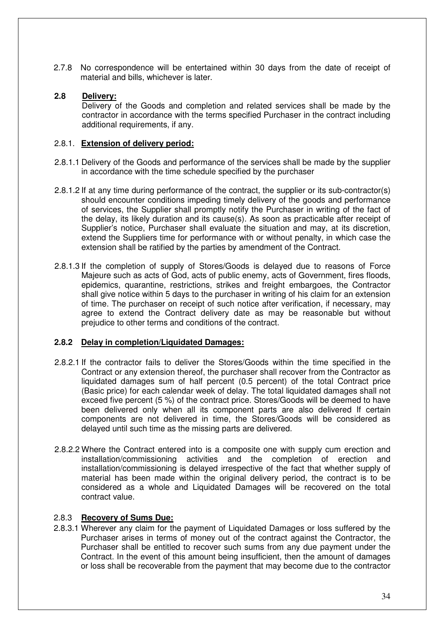2.7.8 No correspondence will be entertained within 30 days from the date of receipt of material and bills, whichever is later.

# **2.8 Delivery:**

Delivery of the Goods and completion and related services shall be made by the contractor in accordance with the terms specified Purchaser in the contract including additional requirements, if any.

### 2.8.1. **Extension of delivery period:**

- 2.8.1.1 Delivery of the Goods and performance of the services shall be made by the supplier in accordance with the time schedule specified by the purchaser
- 2.8.1.2 If at any time during performance of the contract, the supplier or its sub-contractor(s) should encounter conditions impeding timely delivery of the goods and performance of services, the Supplier shall promptly notify the Purchaser in writing of the fact of the delay, its likely duration and its cause(s). As soon as practicable after receipt of Supplier's notice, Purchaser shall evaluate the situation and may, at its discretion, extend the Suppliers time for performance with or without penalty, in which case the extension shall be ratified by the parties by amendment of the Contract.
- 2.8.1.3 If the completion of supply of Stores/Goods is delayed due to reasons of Force Majeure such as acts of God, acts of public enemy, acts of Government, fires floods, epidemics, quarantine, restrictions, strikes and freight embargoes, the Contractor shall give notice within 5 days to the purchaser in writing of his claim for an extension of time. The purchaser on receipt of such notice after verification, if necessary, may agree to extend the Contract delivery date as may be reasonable but without prejudice to other terms and conditions of the contract.

# **2.8.2 Delay in completion/Liquidated Damages:**

- 2.8.2.1 If the contractor fails to deliver the Stores/Goods within the time specified in the Contract or any extension thereof, the purchaser shall recover from the Contractor as liquidated damages sum of half percent (0.5 percent) of the total Contract price (Basic price) for each calendar week of delay. The total liquidated damages shall not exceed five percent (5 %) of the contract price. Stores/Goods will be deemed to have been delivered only when all its component parts are also delivered If certain components are not delivered in time, the Stores/Goods will be considered as delayed until such time as the missing parts are delivered.
- 2.8.2.2 Where the Contract entered into is a composite one with supply cum erection and installation/commissioning activities and the completion of erection and installation/commissioning is delayed irrespective of the fact that whether supply of material has been made within the original delivery period, the contract is to be considered as a whole and Liquidated Damages will be recovered on the total contract value.

### 2.8.3 **Recovery of Sums Due:**

2.8.3.1 Wherever any claim for the payment of Liquidated Damages or loss suffered by the Purchaser arises in terms of money out of the contract against the Contractor, the Purchaser shall be entitled to recover such sums from any due payment under the Contract. In the event of this amount being insufficient, then the amount of damages or loss shall be recoverable from the payment that may become due to the contractor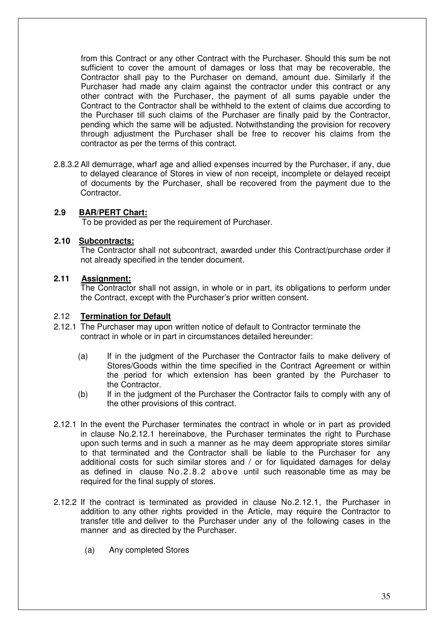from this Contract or any other Contract with the Purchaser. Should this sum be not sufficient to cover the amount of damages or loss that may be recoverable, the Contractor shall pay to the Purchaser on demand, amount due. Similarly if the Purchaser had made any claim against the contractor under this contract or any other contract with the Purchaser, the payment of all sums payable under the Contract to the Contractor shall be withheld to the extent of claims due according to the Purchaser till such claims of the Purchaser are finally paid by the Contractor, pending which the same will be adjusted. Notwithstanding the provision for recovery through adjustment the Purchaser shall be free to recover his claims from the contractor as per the terms of this contract.

2.8.3.2 All demurrage, wharf age and allied expenses incurred by the Purchaser, if any, due to delayed clearance of Stores in view of non receipt, incomplete or delayed receipt of documents by the Purchaser, shall be recovered from the payment due to the Contractor.

### **2.9 BAR/PERT Chart:**

To be provided as per the requirement of Purchaser.

#### **2.10 Subcontracts:**

The Contractor shall not subcontract, awarded under this Contract/purchase order if not already specified in the tender document.

### **2.11 Assignment:**

The Contractor shall not assign, in whole or in part, its obligations to perform under the Contract, except with the Purchaser's prior written consent.

### 2.12 **Termination for Default**

- 2.12.1 The Purchaser may upon written notice of default to Contractor terminate the contract in whole or in part in circumstances detailed hereunder:
	- (a) If in the judgment of the Purchaser the Contractor fails to make delivery of Stores/Goods within the time specified in the Contract Agreement or within the period for which extension has been granted by the Purchaser to the Contractor.
	- (b) If in the judgment of the Purchaser the Contractor fails to comply with any of the other provisions of this contract.
- 2.12.1 In the event the Purchaser terminates the contract in whole or in part as provided in clause No.2.12.1 hereinabove, the Purchaser terminates the right to Purchase upon such terms and in such a manner as he may deem appropriate stores similar to that terminated and the Contractor shall be liable to the Purchaser for any additional costs for such similar stores and / or for liquidated damages for delay as defined in clause No.2.8.2 above until such reasonable time as may be required for the final supply of stores.
- 2.12.2 If the contract is terminated as provided in clause No.2.12.1, the Purchaser in addition to any other rights provided in the Article, may require the Contractor to transfer title and deliver to the Purchaser under any of the following cases in the manner and as directed by the Purchaser.
	- (a) Any completed Stores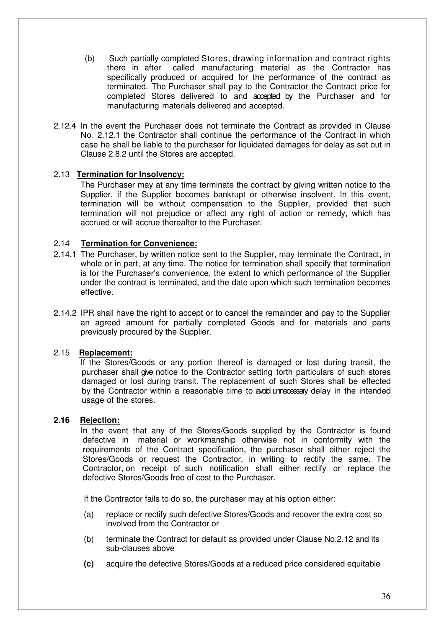- (b) Such partially completed Stores, drawing information and contract rights there in after called manufacturing material as the Contractor has specifically produced or acquired for the performance of the contract as terminated. The Purchaser shall pay to the Contractor the Contract price for completed Stores delivered to and accepted by the Purchaser and for manufacturing materials delivered and accepted.
- 2.12.4 In the event the Purchaser does not terminate the Contract as provided in Clause No. 2.12.1 the Contractor shall continue the performance of the Contract in which case he shall be liable to the purchaser for liquidated damages for delay as set out in Clause 2.8.2 until the Stores are accepted.

# 2.13 **Termination for Insolvency:**

The Purchaser may at any time terminate the contract by giving written notice to the Supplier, if the Supplier becomes bankrupt or otherwise insolvent. In this event, termination will be without compensation to the Supplier, provided that such termination will not prejudice or affect any right of action or remedy, which has accrued or will accrue thereafter to the Purchaser.

# 2.14 **Termination for Convenience:**

- 2.14.1 The Purchaser, by written notice sent to the Supplier, may terminate the Contract, in whole or in part, at any time. The notice for termination shall specify that termination is for the Purchaser's convenience, the extent to which performance of the Supplier under the contract is terminated, and the date upon which such termination becomes effective.
- 2.14.2 IPR shall have the right to accept or to cancel the remainder and pay to the Supplier an agreed amount for partially completed Goods and for materials and parts previously procured by the Supplier.

# 2.15 **Replacement:**

If the Stores/Goods or any portion thereof is damaged or lost during transit, the purchaser shall give notice to the Contractor setting forth particulars of such stores damaged or lost during transit. The replacement of such Stores shall be effected by the Contractor within a reasonable time to avoid unrecessary delay in the intended usage of the stores.

# **2.16 Rejection:**

In the event that any of the Stores/Goods supplied by the Contractor is found defective in material or workmanship otherwise not in conformity with the requirements of the Contract specification, the purchaser shall either reject the Stores/Goods or request the Contractor, in writing to rectify the same. The Contractor, on receipt of such notification shall either rectify or replace the defective Stores/Goods free of cost to the Purchaser.

If the Contractor fails to do so, the purchaser may at his option either:

- (a) replace or rectify such defective Stores/Goods and recover the extra cost so involved from the Contractor or
- (b) terminate the Contract for default as provided under Clause No.2.12 and its sub-clauses above
- **(c)** acquire the defective Stores/Goods at a reduced price considered equitable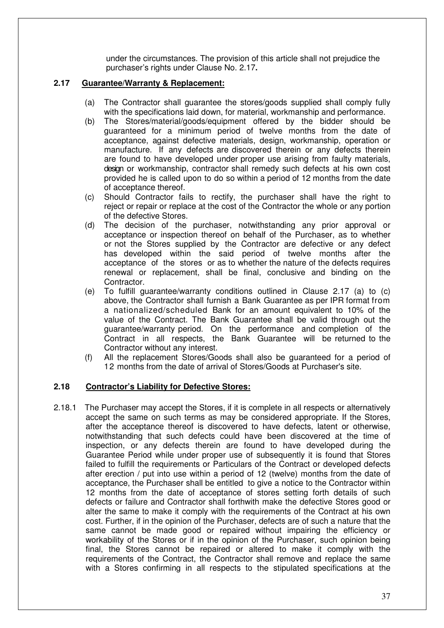under the circumstances. The provision of this article shall not prejudice the purchaser's rights under Clause No. 2.17**.** 

# **2.17 Guarantee/Warranty & Replacement:**

- (a) The Contractor shall guarantee the stores/goods supplied shall comply fully with the specifications laid down, for material, workmanship and performance.
- (b) The Stores/material/goods/equipment offered by the bidder should be guaranteed for a minimum period of twelve months from the date of acceptance, against defective materials, design, workmanship, operation or manufacture. If any defects are discovered therein or any defects therein are found to have developed under proper use arising from faulty materials, design or workmanship, contractor shall remedy such defects at his own cost provided he is called upon to do so within a period of 12 months from the date of acceptance thereof.
- (c) Should Contractor fails to rectify, the purchaser shall have the right to reject or repair or replace at the cost of the Contractor the whole or any portion of the defective Stores.
- (d) The decision of the purchaser, notwithstanding any prior approval or acceptance or inspection thereof on behalf of the Purchaser, as to whether or not the Stores supplied by the Contractor are defective or any defect has developed within the said period of twelve months after the acceptance of the stores or as to whether the nature of the defects requires renewal or replacement, shall be final, conclusive and binding on the Contractor.
- (e) To fulfill guarantee/warranty conditions outlined in Clause 2.17 (a) to (c) above, the Contractor shall furnish a Bank Guarantee as per IPR format from a nationalized/scheduled Bank for an amount equivalent to 10% of the value of the Contract. The Bank Guarantee shall be valid through out the guarantee/warranty period. On the performance and completion of the Contract in all respects, the Bank Guarantee will be returned to the Contractor without any interest.
- (f) All the replacement Stores/Goods shall also be guaranteed for a period of 12 months from the date of arrival of Stores/Goods at Purchaser's site.

### **2.18 Contractor's Liability for Defective Stores:**

2.18.1 The Purchaser may accept the Stores, if it is complete in all respects or alternatively accept the same on such terms as may be considered appropriate. If the Stores, after the acceptance thereof is discovered to have defects, latent or otherwise, notwithstanding that such defects could have been discovered at the time of inspection, or any defects therein are found to have developed during the Guarantee Period while under proper use of subsequently it is found that Stores failed to fulfill the requirements or Particulars of the Contract or developed defects after erection / put into use within a period of 12 (twelve) months from the date of acceptance, the Purchaser shall be entitled to give a notice to the Contractor within 12 months from the date of acceptance of stores setting forth details of such defects or failure and Contractor shall forthwith make the defective Stores good or alter the same to make it comply with the requirements of the Contract at his own cost. Further, if in the opinion of the Purchaser, defects are of such a nature that the same cannot be made good or repaired without impairing the efficiency or workability of the Stores or if in the opinion of the Purchaser, such opinion being final, the Stores cannot be repaired or altered to make it comply with the requirements of the Contract, the Contractor shall remove and replace the same with a Stores confirming in all respects to the stipulated specifications at the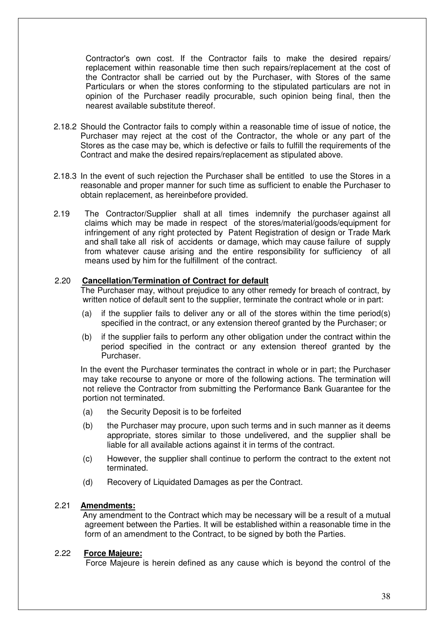Contractor's own cost. If the Contractor fails to make the desired repairs/ replacement within reasonable time then such repairs/replacement at the cost of the Contractor shall be carried out by the Purchaser, with Stores of the same Particulars or when the stores conforming to the stipulated particulars are not in opinion of the Purchaser readily procurable, such opinion being final, then the nearest available substitute thereof.

- 2.18.2 Should the Contractor fails to comply within a reasonable time of issue of notice, the Purchaser may reject at the cost of the Contractor, the whole or any part of the Stores as the case may be, which is defective or fails to fulfill the requirements of the Contract and make the desired repairs/replacement as stipulated above.
- 2.18.3 In the event of such rejection the Purchaser shall be entitled to use the Stores in a reasonable and proper manner for such time as sufficient to enable the Purchaser to obtain replacement, as hereinbefore provided.
- 2.19 The Contractor/Supplier shall at all times indemnify the purchaser against all claims which may be made in respect of the stores/material/goods/equipment for infringement of any right protected by Patent Registration of design or Trade Mark and shall take all risk of accidents or damage, which may cause failure of supply from whatever cause arising and the entire responsibility for sufficiency of all means used by him for the fulfillment of the contract.

# 2.20 **Cancellation/Termination of Contract for default**

The Purchaser may, without prejudice to any other remedy for breach of contract, by written notice of default sent to the supplier, terminate the contract whole or in part:

- (a) if the supplier fails to deliver any or all of the stores within the time period(s) specified in the contract, or any extension thereof granted by the Purchaser; or
- (b) if the supplier fails to perform any other obligation under the contract within the period specified in the contract or any extension thereof granted by the Purchaser.

In the event the Purchaser terminates the contract in whole or in part; the Purchaser may take recourse to anyone or more of the following actions. The termination will not relieve the Contractor from submitting the Performance Bank Guarantee for the portion not terminated.

- (a) the Security Deposit is to be forfeited
- (b) the Purchaser may procure, upon such terms and in such manner as it deems appropriate, stores similar to those undelivered, and the supplier shall be liable for all available actions against it in terms of the contract.
- (c) However, the supplier shall continue to perform the contract to the extent not terminated.
- (d) Recovery of Liquidated Damages as per the Contract.

### 2.21 **Amendments:**

 Any amendment to the Contract which may be necessary will be a result of a mutual agreement between the Parties. It will be established within a reasonable time in the form of an amendment to the Contract, to be signed by both the Parties.

### 2.22 **Force Majeure:**

Force Majeure is herein defined as any cause which is beyond the control of the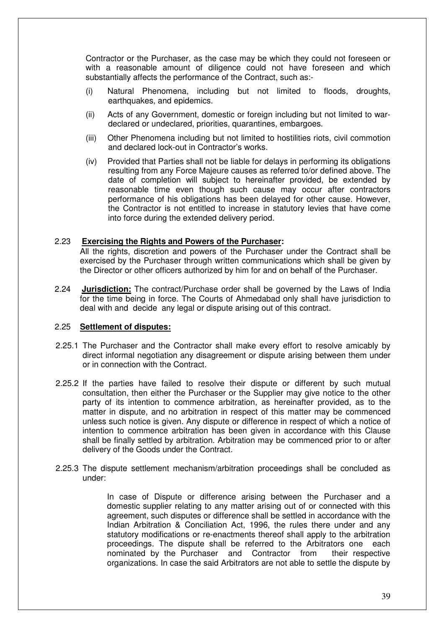Contractor or the Purchaser, as the case may be which they could not foreseen or with a reasonable amount of diligence could not have foreseen and which substantially affects the performance of the Contract, such as:-

- (i) Natural Phenomena, including but not limited to floods, droughts, earthquakes, and epidemics.
- (ii) Acts of any Government, domestic or foreign including but not limited to wardeclared or undeclared, priorities, quarantines, embargoes.
- (iii) Other Phenomena including but not limited to hostilities riots, civil commotion and declared lock-out in Contractor's works.
- (iv) Provided that Parties shall not be liable for delays in performing its obligations resulting from any Force Majeure causes as referred to/or defined above. The date of completion will subject to hereinafter provided, be extended by reasonable time even though such cause may occur after contractors performance of his obligations has been delayed for other cause. However, the Contractor is not entitled to increase in statutory levies that have come into force during the extended delivery period.

### 2.23 **Exercising the Rights and Powers of the Purchaser:**

All the rights, discretion and powers of the Purchaser under the Contract shall be exercised by the Purchaser through written communications which shall be given by the Director or other officers authorized by him for and on behalf of the Purchaser.

2.24 **Jurisdiction:** The contract/Purchase order shall be governed by the Laws of India for the time being in force. The Courts of Ahmedabad only shall have jurisdiction to deal with and decide any legal or dispute arising out of this contract.

#### 2.25 **Settlement of disputes:**

- 2.25.1 The Purchaser and the Contractor shall make every effort to resolve amicably by direct informal negotiation any disagreement or dispute arising between them under or in connection with the Contract.
- 2.25.2 If the parties have failed to resolve their dispute or different by such mutual consultation, then either the Purchaser or the Supplier may give notice to the other party of its intention to commence arbitration, as hereinafter provided, as to the matter in dispute, and no arbitration in respect of this matter may be commenced unless such notice is given. Any dispute or difference in respect of which a notice of intention to commence arbitration has been given in accordance with this Clause shall be finally settled by arbitration. Arbitration may be commenced prior to or after delivery of the Goods under the Contract.
- 2.25.3 The dispute settlement mechanism/arbitration proceedings shall be concluded as under:

In case of Dispute or difference arising between the Purchaser and a domestic supplier relating to any matter arising out of or connected with this agreement, such disputes or difference shall be settled in accordance with the Indian Arbitration & Conciliation Act, 1996, the rules there under and any statutory modifications or re-enactments thereof shall apply to the arbitration proceedings. The dispute shall be referred to the Arbitrators one each nominated by the Purchaser and Contractor from their respective organizations. In case the said Arbitrators are not able to settle the dispute by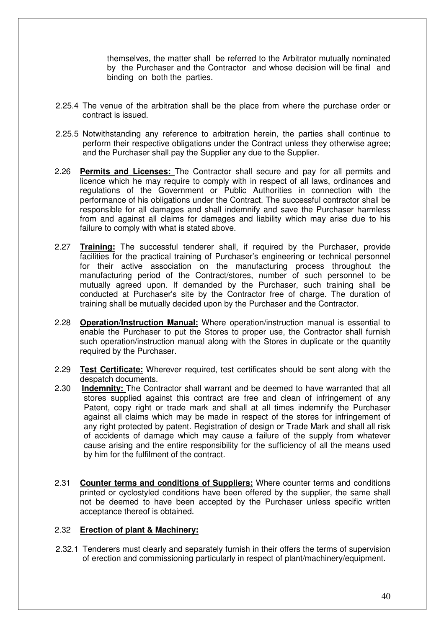themselves, the matter shall be referred to the Arbitrator mutually nominated by the Purchaser and the Contractor and whose decision will be final and binding on both the parties.

- 2.25.4 The venue of the arbitration shall be the place from where the purchase order or contract is issued.
- 2.25.5 Notwithstanding any reference to arbitration herein, the parties shall continue to perform their respective obligations under the Contract unless they otherwise agree; and the Purchaser shall pay the Supplier any due to the Supplier.
- 2.26 **Permits and Licenses:** The Contractor shall secure and pay for all permits and licence which he may require to comply with in respect of all laws, ordinances and regulations of the Government or Public Authorities in connection with the performance of his obligations under the Contract. The successful contractor shall be responsible for all damages and shall indemnify and save the Purchaser harmless from and against all claims for damages and liability which may arise due to his failure to comply with what is stated above.
- 2.27 **Training:** The successful tenderer shall, if required by the Purchaser, provide facilities for the practical training of Purchaser's engineering or technical personnel for their active association on the manufacturing process throughout the manufacturing period of the Contract/stores, number of such personnel to be mutually agreed upon. If demanded by the Purchaser, such training shall be conducted at Purchaser's site by the Contractor free of charge. The duration of training shall be mutually decided upon by the Purchaser and the Contractor.
- 2.28 **Operation/Instruction Manual:** Where operation/instruction manual is essential to enable the Purchaser to put the Stores to proper use, the Contractor shall furnish such operation/instruction manual along with the Stores in duplicate or the quantity required by the Purchaser.
- 2.29 **Test Certificate:** Wherever required, test certificates should be sent along with the despatch documents.
- 2.30 **Indemnity:** The Contractor shall warrant and be deemed to have warranted that all stores supplied against this contract are free and clean of infringement of any Patent, copy right or trade mark and shall at all times indemnify the Purchaser against all claims which may be made in respect of the stores for infringement of any right protected by patent. Registration of design or Trade Mark and shall all risk of accidents of damage which may cause a failure of the supply from whatever cause arising and the entire responsibility for the sufficiency of all the means used by him for the fulfilment of the contract.
- 2.31 **Counter terms and conditions of Suppliers:** Where counter terms and conditions printed or cyclostyled conditions have been offered by the supplier, the same shall not be deemed to have been accepted by the Purchaser unless specific written acceptance thereof is obtained.

### 2.32 **Erection of plant & Machinery:**

2.32.1 Tenderers must clearly and separately furnish in their offers the terms of supervision of erection and commissioning particularly in respect of plant/machinery/equipment.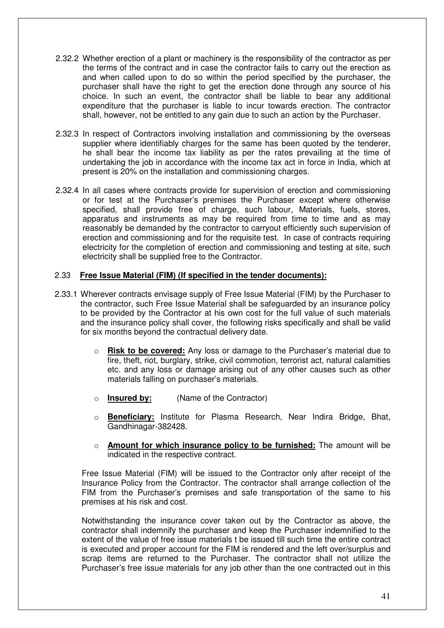- 2.32.2 Whether erection of a plant or machinery is the responsibility of the contractor as per the terms of the contract and in case the contractor fails to carry out the erection as and when called upon to do so within the period specified by the purchaser, the purchaser shall have the right to get the erection done through any source of his choice. In such an event, the contractor shall be liable to bear any additional expenditure that the purchaser is liable to incur towards erection. The contractor shall, however, not be entitled to any gain due to such an action by the Purchaser.
- 2.32.3 In respect of Contractors involving installation and commissioning by the overseas supplier where identifiably charges for the same has been quoted by the tenderer, he shall bear the income tax liability as per the rates prevailing at the time of undertaking the job in accordance with the income tax act in force in India, which at present is 20% on the installation and commissioning charges.
- 2.32.4 In all cases where contracts provide for supervision of erection and commissioning or for test at the Purchaser's premises the Purchaser except where otherwise specified, shall provide free of charge, such labour, Materials, fuels, stores, apparatus and instruments as may be required from time to time and as may reasonably be demanded by the contractor to carryout efficiently such supervision of erection and commissioning and for the requisite test. In case of contracts requiring electricity for the completion of erection and commissioning and testing at site, such electricity shall be supplied free to the Contractor.

### 2.33 **Free Issue Material (FIM) (If specified in the tender documents):**

- 2.33.1 Wherever contracts envisage supply of Free Issue Material (FIM) by the Purchaser to the contractor, such Free Issue Material shall be safeguarded by an insurance policy to be provided by the Contractor at his own cost for the full value of such materials and the insurance policy shall cover, the following risks specifically and shall be valid for six months beyond the contractual delivery date.
	- o **Risk to be covered:** Any loss or damage to the Purchaser's material due to fire, theft, riot, burglary, strike, civil commotion, terrorist act, natural calamities etc. and any loss or damage arising out of any other causes such as other materials falling on purchaser's materials.
	- o **Insured by:** (Name of the Contractor)
	- o **Beneficiary:** Institute for Plasma Research, Near Indira Bridge, Bhat, Gandhinagar-382428.
	- o **Amount for which insurance policy to be furnished:** The amount will be indicated in the respective contract.

Free Issue Material (FIM) will be issued to the Contractor only after receipt of the Insurance Policy from the Contractor. The contractor shall arrange collection of the FIM from the Purchaser's premises and safe transportation of the same to his premises at his risk and cost.

Notwithstanding the insurance cover taken out by the Contractor as above, the contractor shall indemnify the purchaser and keep the Purchaser indemnified to the extent of the value of free issue materials t be issued till such time the entire contract is executed and proper account for the FIM is rendered and the left over/surplus and scrap items are returned to the Purchaser. The contractor shall not utilize the Purchaser's free issue materials for any job other than the one contracted out in this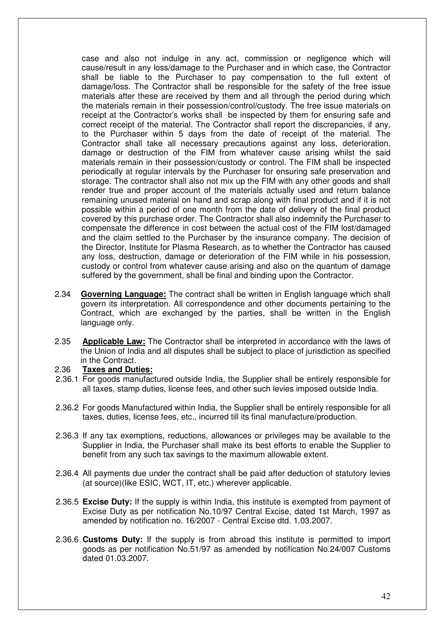case and also not indulge in any act, commission or negligence which will cause/result in any loss/damage to the Purchaser and in which case, the Contractor shall be liable to the Purchaser to pay compensation to the full extent of damage/loss. The Contractor shall be responsible for the safety of the free issue materials after these are received by them and all through the period during which the materials remain in their possession/control/custody. The free issue materials on receipt at the Contractor's works shall be inspected by them for ensuring safe and correct receipt of the material. The Contractor shall report the discrepancies, if any, to the Purchaser within 5 days from the date of receipt of the material. The Contractor shall take all necessary precautions against any loss, deterioration, damage or destruction of the FIM from whatever cause arising whilst the said materials remain in their possession/custody or control. The FIM shall be inspected periodically at regular intervals by the Purchaser for ensuring safe preservation and storage. The contractor shall also not mix up the FIM with any other goods and shall render true and proper account of the materials actually used and return balance remaining unused material on hand and scrap along with final product and if it is not possible within a period of one month from the date of delivery of the final product covered by this purchase order. The Contractor shall also indemnify the Purchaser to compensate the difference in cost between the actual cost of the FIM lost/damaged and the claim settled to the Purchaser by the insurance company. The decision of the Director, Institute for Plasma Research, as to whether the Contractor has caused any loss, destruction, damage or deterioration of the FIM while in his possession, custody or control from whatever cause arising and also on the quantum of damage suffered by the government, shall be final and binding upon the Contractor.

- 2.34 **Governing Language:** The contract shall be written in English language which shall govern its interpretation. All correspondence and other documents pertaining to the Contract, which are exchanged by the parties, shall be written in the English language only.
- 2.35 **Applicable Law:** The Contractor shall be interpreted in accordance with the laws of the Union of India and all disputes shall be subject to place of jurisdiction as specified in the Contract.

#### 2.36 **Taxes and Duties:**

- 2.36.1 For goods manufactured outside India, the Supplier shall be entirely responsible for all taxes, stamp duties, license fees, and other such levies imposed outside India.
- 2.36.2 For goods Manufactured within India, the Supplier shall be entirely responsible for all taxes, duties, license fees, etc., incurred till its final manufacture/production.
- 2.36.3 If any tax exemptions, reductions, allowances or privileges may be available to the Supplier in India, the Purchaser shall make its best efforts to enable the Supplier to benefit from any such tax savings to the maximum allowable extent.
- 2.36.4 All payments due under the contract shall be paid after deduction of statutory levies (at source)(like ESIC, WCT, IT, etc.) wherever applicable.
- 2.36.5 **Excise Duty:** If the supply is within India, this institute is exempted from payment of Excise Duty as per notification No.10/97 Central Excise, dated 1st March, 1997 as amended by notification no. 16/2007 - Central Excise dtd. 1.03.2007.
- 2.36.6 **Customs Duty:** If the supply is from abroad this institute is permitted to import goods as per notification No.51/97 as amended by notification No.24/007 Customs dated 01.03.2007.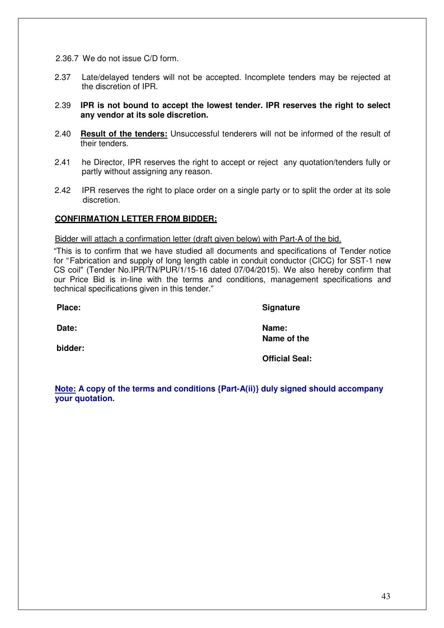- 2.37 Late/delayed tenders will not be accepted. Incomplete tenders may be rejected at the discretion of IPR.
- 2.39 **IPR is not bound to accept the lowest tender. IPR reserves the right to select any vendor at its sole discretion.**
- 2.40 **Result of the tenders:** Unsuccessful tenderers will not be informed of the result of their tenders.
- 2.41 he Director, IPR reserves the right to accept or reject any quotation/tenders fully or partly without assigning any reason.
- 2.42 IPR reserves the right to place order on a single party or to split the order at its sole discretion.

# **CONFIRMATION LETTER FROM BIDDER:**

#### Bidder will attach a confirmation letter (draft given below) with Part-A of the bid.

"This is to confirm that we have studied all documents and specifications of Tender notice for "Fabrication and supply of long length cable in conduit conductor (CICC) for SST-1 new CS coil" (Tender No.IPR/TN/PUR/1/15-16 dated 07/04/2015). We also hereby confirm that our Price Bid is in-line with the terms and conditions, management specifications and technical specifications given in this tender."

Place: Signature

**bidder:** 

**Date: Name: Name of the** 

 **Official Seal:** 

**Note: A copy of the terms and conditions {Part-A(ii)} duly signed should accompany your quotation.**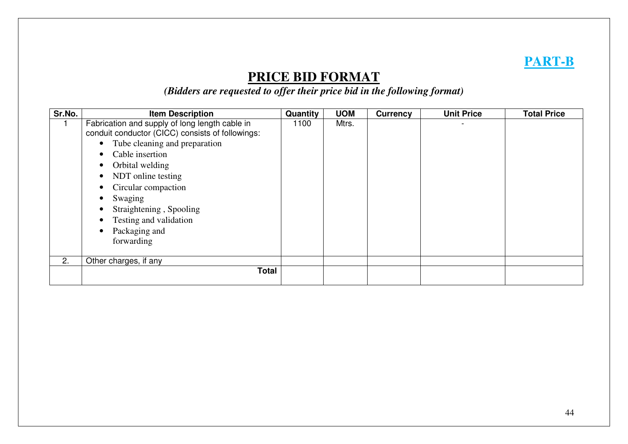# **PART-B**

# **PRICE BID FORMAT**

*(Bidders are requested to offer their price bid in the following format)* 

| Sr.No. | <b>Item Description</b>                                                                                                                                                                                                                                                                                                                                                                                                         | Quantity | <b>UOM</b> | <b>Currency</b> | <b>Unit Price</b> | <b>Total Price</b> |
|--------|---------------------------------------------------------------------------------------------------------------------------------------------------------------------------------------------------------------------------------------------------------------------------------------------------------------------------------------------------------------------------------------------------------------------------------|----------|------------|-----------------|-------------------|--------------------|
|        | Fabrication and supply of long length cable in<br>conduit conductor (CICC) consists of followings:<br>• Tube cleaning and preparation<br>Cable insertion<br>$\bullet$<br>Orbital welding<br>$\bullet$<br>NDT online testing<br>$\bullet$<br>Circular compaction<br>$\bullet$<br>Swaging<br>$\bullet$<br>Straightening, Spooling<br>$\bullet$<br>Testing and validation<br>$\bullet$<br>Packaging and<br>$\bullet$<br>forwarding | 1100     | Mtrs.      |                 |                   |                    |
| 2.     | Other charges, if any                                                                                                                                                                                                                                                                                                                                                                                                           |          |            |                 |                   |                    |
|        | <b>Total</b>                                                                                                                                                                                                                                                                                                                                                                                                                    |          |            |                 |                   |                    |